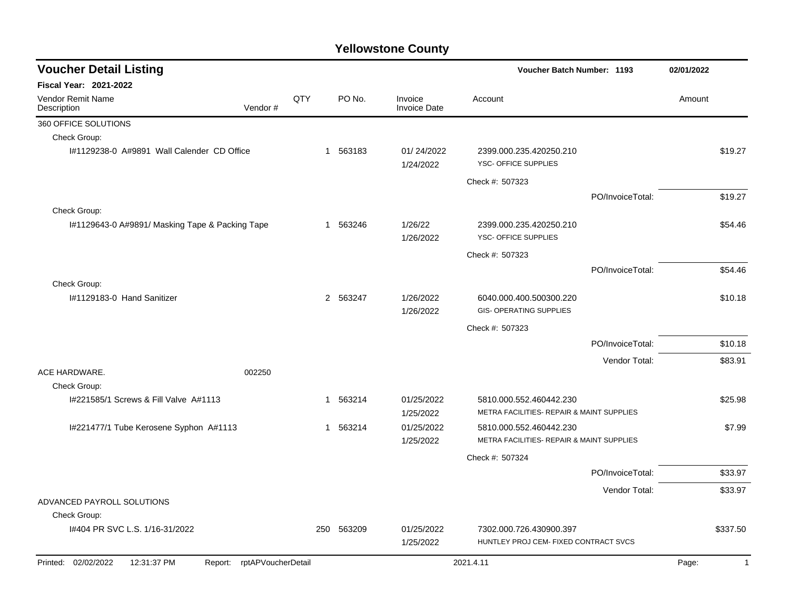| <b>Voucher Detail Listing</b>                                    |         |     |            |                                |                                                                      | <b>Voucher Batch Number: 1193</b> |        |              |
|------------------------------------------------------------------|---------|-----|------------|--------------------------------|----------------------------------------------------------------------|-----------------------------------|--------|--------------|
| Fiscal Year: 2021-2022                                           |         |     |            |                                |                                                                      |                                   |        |              |
| <b>Vendor Remit Name</b><br>Description                          | Vendor# | QTY | PO No.     | Invoice<br><b>Invoice Date</b> | Account                                                              |                                   | Amount |              |
| 360 OFFICE SOLUTIONS                                             |         |     |            |                                |                                                                      |                                   |        |              |
| Check Group:                                                     |         |     |            |                                |                                                                      |                                   |        |              |
| I#1129238-0 A#9891 Wall Calender CD Office                       |         |     | 1 563183   | 01/24/2022<br>1/24/2022        | 2399.000.235.420250.210<br>YSC- OFFICE SUPPLIES                      |                                   |        | \$19.27      |
|                                                                  |         |     |            |                                | Check #: 507323                                                      |                                   |        |              |
|                                                                  |         |     |            |                                |                                                                      | PO/InvoiceTotal:                  |        | \$19.27      |
| Check Group:                                                     |         |     |            |                                |                                                                      |                                   |        |              |
| I#1129643-0 A#9891/ Masking Tape & Packing Tape                  |         |     | 1 563246   | 1/26/22<br>1/26/2022           | 2399.000.235.420250.210<br>YSC- OFFICE SUPPLIES                      |                                   |        | \$54.46      |
|                                                                  |         |     |            |                                | Check #: 507323                                                      |                                   |        |              |
|                                                                  |         |     |            |                                |                                                                      | PO/InvoiceTotal:                  |        | \$54.46      |
| Check Group:                                                     |         |     |            |                                |                                                                      |                                   |        |              |
| I#1129183-0 Hand Sanitizer                                       |         |     | 2 563247   | 1/26/2022<br>1/26/2022         | 6040.000.400.500300.220<br>GIS- OPERATING SUPPLIES                   |                                   |        | \$10.18      |
|                                                                  |         |     |            |                                | Check #: 507323                                                      |                                   |        |              |
|                                                                  |         |     |            |                                |                                                                      | PO/InvoiceTotal:                  |        | \$10.18      |
|                                                                  |         |     |            |                                |                                                                      |                                   |        |              |
| ACE HARDWARE.                                                    | 002250  |     |            |                                |                                                                      | Vendor Total:                     |        | \$83.91      |
| Check Group:                                                     |         |     |            |                                |                                                                      |                                   |        |              |
| I#221585/1 Screws & Fill Valve A#1113                            |         | 1   | 563214     | 01/25/2022<br>1/25/2022        | 5810.000.552.460442.230<br>METRA FACILITIES- REPAIR & MAINT SUPPLIES |                                   |        | \$25.98      |
| I#221477/1 Tube Kerosene Syphon A#1113                           |         | 1   | 563214     | 01/25/2022                     | 5810.000.552.460442.230                                              |                                   |        | \$7.99       |
|                                                                  |         |     |            | 1/25/2022                      | METRA FACILITIES- REPAIR & MAINT SUPPLIES                            |                                   |        |              |
|                                                                  |         |     |            |                                | Check #: 507324                                                      |                                   |        |              |
|                                                                  |         |     |            |                                |                                                                      | PO/InvoiceTotal:                  |        | \$33.97      |
|                                                                  |         |     |            |                                |                                                                      | Vendor Total:                     |        | \$33.97      |
| ADVANCED PAYROLL SOLUTIONS                                       |         |     |            |                                |                                                                      |                                   |        |              |
| Check Group:                                                     |         |     |            |                                |                                                                      |                                   |        |              |
| I#404 PR SVC L.S. 1/16-31/2022                                   |         |     | 250 563209 | 01/25/2022<br>1/25/2022        | 7302.000.726.430900.397<br>HUNTLEY PROJ CEM- FIXED CONTRACT SVCS     |                                   |        | \$337.50     |
| Printed: 02/02/2022<br>12:31:37 PM<br>Report: rptAPVoucherDetail |         |     |            |                                | 2021.4.11                                                            |                                   | Page:  | $\mathbf{1}$ |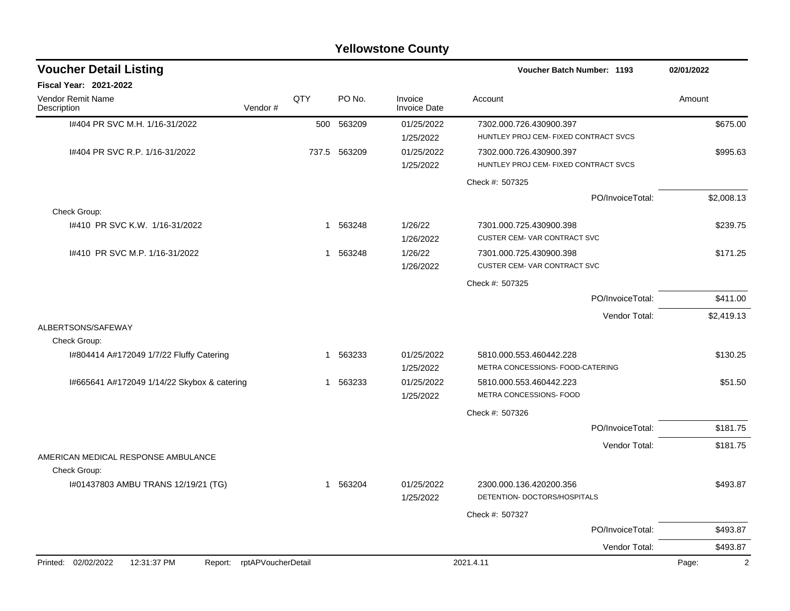|                                                                  |              |              | <b>Yellowstone County</b>      |                                                                  |                         |
|------------------------------------------------------------------|--------------|--------------|--------------------------------|------------------------------------------------------------------|-------------------------|
| <b>Voucher Detail Listing</b>                                    |              |              |                                | Voucher Batch Number: 1193                                       | 02/01/2022              |
| Fiscal Year: 2021-2022                                           |              |              |                                |                                                                  |                         |
| Vendor Remit Name<br>Vendor#<br>Description                      | QTY          | PO No.       | Invoice<br><b>Invoice Date</b> | Account                                                          | Amount                  |
| 1#404 PR SVC M.H. 1/16-31/2022                                   | 500          | 563209       | 01/25/2022<br>1/25/2022        | 7302.000.726.430900.397<br>HUNTLEY PROJ CEM- FIXED CONTRACT SVCS | \$675.00                |
| I#404 PR SVC R.P. 1/16-31/2022                                   |              | 737.5 563209 | 01/25/2022<br>1/25/2022        | 7302.000.726.430900.397<br>HUNTLEY PROJ CEM- FIXED CONTRACT SVCS | \$995.63                |
|                                                                  |              |              |                                | Check #: 507325                                                  |                         |
|                                                                  |              |              |                                | PO/InvoiceTotal:                                                 | \$2,008.13              |
| Check Group:                                                     |              |              |                                |                                                                  |                         |
| 1#410 PR SVC K.W. 1/16-31/2022                                   | 1            | 563248       | 1/26/22<br>1/26/2022           | 7301.000.725.430900.398<br>CUSTER CEM-VAR CONTRACT SVC           | \$239.75                |
| 1#410 PR SVC M.P. 1/16-31/2022                                   | 1            | 563248       | 1/26/22<br>1/26/2022           | 7301.000.725.430900.398<br>CUSTER CEM-VAR CONTRACT SVC           | \$171.25                |
|                                                                  |              |              |                                | Check #: 507325                                                  |                         |
|                                                                  |              |              |                                | PO/InvoiceTotal:                                                 | \$411.00                |
|                                                                  |              |              |                                | Vendor Total:                                                    | \$2,419.13              |
| ALBERTSONS/SAFEWAY                                               |              |              |                                |                                                                  |                         |
| Check Group:                                                     |              |              |                                |                                                                  |                         |
| I#804414 A#172049 1/7/22 Fluffy Catering                         | $\mathbf{1}$ | 563233       | 01/25/2022<br>1/25/2022        | 5810.000.553.460442.228<br>METRA CONCESSIONS- FOOD-CATERING      | \$130.25                |
| I#665641 A#172049 1/14/22 Skybox & catering                      | 1            | 563233       | 01/25/2022                     | 5810.000.553.460442.223<br>METRA CONCESSIONS- FOOD               | \$51.50                 |
|                                                                  |              |              | 1/25/2022                      | Check #: 507326                                                  |                         |
|                                                                  |              |              |                                | PO/InvoiceTotal:                                                 | \$181.75                |
|                                                                  |              |              |                                | Vendor Total:                                                    | \$181.75                |
| AMERICAN MEDICAL RESPONSE AMBULANCE                              |              |              |                                |                                                                  |                         |
| Check Group:                                                     |              |              |                                |                                                                  |                         |
| I#01437803 AMBU TRANS 12/19/21 (TG)                              |              | 1 563204     | 01/25/2022<br>1/25/2022        | 2300.000.136.420200.356<br>DETENTION- DOCTORS/HOSPITALS          | \$493.87                |
|                                                                  |              |              |                                | Check #: 507327                                                  |                         |
|                                                                  |              |              |                                | PO/InvoiceTotal:                                                 | \$493.87                |
|                                                                  |              |              |                                | Vendor Total:                                                    | \$493.87                |
| Printed: 02/02/2022<br>12:31:37 PM<br>Report: rptAPVoucherDetail |              |              |                                | 2021.4.11                                                        | Page:<br>$\overline{2}$ |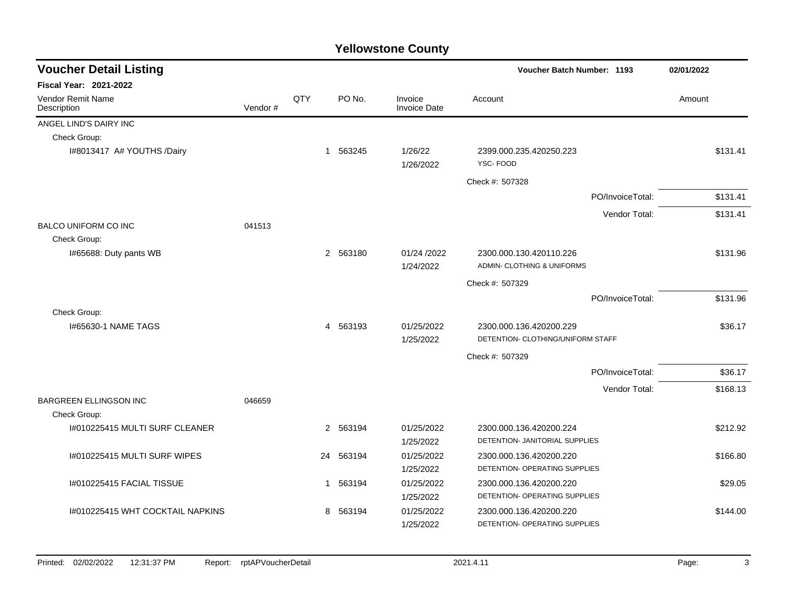| <b>Voucher Detail Listing</b>    |         |     |             |                                |                                                       | <b>Voucher Batch Number: 1193</b> |          |
|----------------------------------|---------|-----|-------------|--------------------------------|-------------------------------------------------------|-----------------------------------|----------|
| <b>Fiscal Year: 2021-2022</b>    |         |     |             |                                |                                                       |                                   |          |
| Vendor Remit Name<br>Description | Vendor# | QTY | PO No.      | Invoice<br><b>Invoice Date</b> | Account                                               |                                   | Amount   |
| ANGEL LIND'S DAIRY INC           |         |     |             |                                |                                                       |                                   |          |
| Check Group:                     |         |     |             |                                |                                                       |                                   |          |
| I#8013417 A# YOUTHS /Dairy       |         |     | 1 563245    | 1/26/22<br>1/26/2022           | 2399.000.235.420250.223<br>YSC-FOOD                   |                                   | \$131.41 |
|                                  |         |     |             |                                | Check #: 507328                                       |                                   |          |
|                                  |         |     |             |                                |                                                       | PO/InvoiceTotal:                  | \$131.41 |
|                                  |         |     |             |                                |                                                       | Vendor Total:                     | \$131.41 |
| <b>BALCO UNIFORM CO INC</b>      | 041513  |     |             |                                |                                                       |                                   |          |
| Check Group:                     |         |     |             |                                |                                                       |                                   |          |
| I#65688: Duty pants WB           |         |     | 2 563180    | 01/24 /2022<br>1/24/2022       | 2300.000.130.420110.226<br>ADMIN- CLOTHING & UNIFORMS |                                   | \$131.96 |
|                                  |         |     |             |                                | Check #: 507329                                       |                                   |          |
|                                  |         |     |             |                                |                                                       | PO/InvoiceTotal:                  | \$131.96 |
| Check Group:                     |         |     |             |                                |                                                       |                                   |          |
| 1#65630-1 NAME TAGS              |         |     | 4 563193    | 01/25/2022                     | 2300.000.136.420200.229                               |                                   | \$36.17  |
|                                  |         |     |             | 1/25/2022                      | DETENTION- CLOTHING/UNIFORM STAFF                     |                                   |          |
|                                  |         |     |             |                                | Check #: 507329                                       |                                   |          |
|                                  |         |     |             |                                |                                                       | PO/InvoiceTotal:                  | \$36.17  |
|                                  |         |     |             |                                |                                                       | Vendor Total:                     | \$168.13 |
| <b>BARGREEN ELLINGSON INC</b>    | 046659  |     |             |                                |                                                       |                                   |          |
| Check Group:                     |         |     |             |                                |                                                       |                                   |          |
| I#010225415 MULTI SURF CLEANER   |         |     | 2 563194    | 01/25/2022                     | 2300.000.136.420200.224                               |                                   | \$212.92 |
|                                  |         |     |             | 1/25/2022                      | DETENTION- JANITORIAL SUPPLIES                        |                                   |          |
| I#010225415 MULTI SURF WIPES     |         |     | 24 563194   | 01/25/2022                     | 2300.000.136.420200.220                               |                                   | \$166.80 |
|                                  |         |     |             | 1/25/2022                      | DETENTION- OPERATING SUPPLIES                         |                                   |          |
| I#010225415 FACIAL TISSUE        |         |     | 563194<br>1 | 01/25/2022                     | 2300.000.136.420200.220                               |                                   | \$29.05  |
|                                  |         |     |             | 1/25/2022                      | DETENTION- OPERATING SUPPLIES                         |                                   |          |
| 1#010225415 WHT COCKTAIL NAPKINS |         |     | 8 563194    | 01/25/2022                     | 2300.000.136.420200.220                               |                                   | \$144.00 |
|                                  |         |     |             | 1/25/2022                      | DETENTION- OPERATING SUPPLIES                         |                                   |          |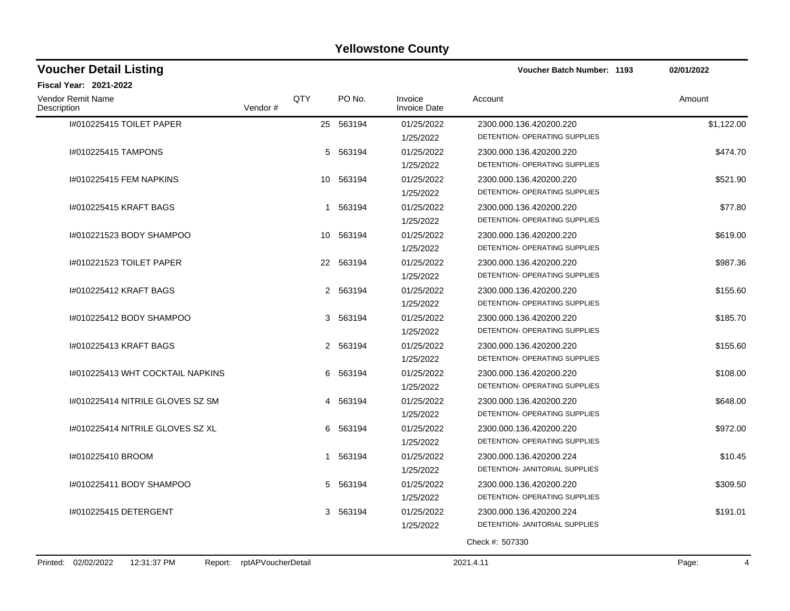| <b>Voucher Detail Listing</b>                 |                    |              |           |                                | <b>Voucher Batch Number: 1193</b> | 02/01/2022 |
|-----------------------------------------------|--------------------|--------------|-----------|--------------------------------|-----------------------------------|------------|
| <b>Fiscal Year: 2021-2022</b>                 |                    |              |           |                                |                                   |            |
| Vendor Remit Name<br>Description              | Vendor#            | QTY          | PO No.    | Invoice<br><b>Invoice Date</b> | Account                           | Amount     |
| I#010225415 TOILET PAPER                      |                    |              | 25 563194 | 01/25/2022                     | 2300.000.136.420200.220           | \$1,122.00 |
|                                               |                    |              |           | 1/25/2022                      | DETENTION- OPERATING SUPPLIES     |            |
| 1#010225415 TAMPONS                           |                    |              | 5 563194  | 01/25/2022                     | 2300.000.136.420200.220           | \$474.70   |
|                                               |                    |              |           | 1/25/2022                      | DETENTION- OPERATING SUPPLIES     |            |
| 1#010225415 FEM NAPKINS                       |                    |              | 10 563194 | 01/25/2022                     | 2300.000.136.420200.220           | \$521.90   |
|                                               |                    |              |           | 1/25/2022                      | DETENTION- OPERATING SUPPLIES     |            |
| #010225415 KRAFT BAGS                         |                    |              | 1 563194  | 01/25/2022                     | 2300.000.136.420200.220           | \$77.80    |
|                                               |                    |              |           | 1/25/2022                      | DETENTION- OPERATING SUPPLIES     |            |
| I#010221523 BODY SHAMPOO                      |                    |              | 10 563194 | 01/25/2022                     | 2300.000.136.420200.220           | \$619.00   |
|                                               |                    |              |           | 1/25/2022                      | DETENTION- OPERATING SUPPLIES     |            |
| 1#010221523 TOILET PAPER                      |                    |              | 22 563194 | 01/25/2022                     | 2300.000.136.420200.220           | \$987.36   |
|                                               |                    |              |           | 1/25/2022                      | DETENTION- OPERATING SUPPLIES     |            |
| 1#010225412 KRAFT BAGS                        |                    | $\mathbf{2}$ | 563194    | 01/25/2022                     | 2300.000.136.420200.220           | \$155.60   |
|                                               |                    |              |           | 1/25/2022                      | DETENTION- OPERATING SUPPLIES     |            |
| I#010225412 BODY SHAMPOO                      |                    | 3            | 563194    | 01/25/2022                     | 2300.000.136.420200.220           | \$185.70   |
|                                               |                    |              |           | 1/25/2022                      | DETENTION- OPERATING SUPPLIES     |            |
| #010225413 KRAFT BAGS                         |                    |              | 2 563194  | 01/25/2022                     | 2300.000.136.420200.220           | \$155.60   |
|                                               |                    |              |           | 1/25/2022                      | DETENTION- OPERATING SUPPLIES     |            |
| 1#010225413 WHT COCKTAIL NAPKINS              |                    | 6            | 563194    | 01/25/2022                     | 2300.000.136.420200.220           | \$108.00   |
|                                               |                    |              |           | 1/25/2022                      | DETENTION- OPERATING SUPPLIES     |            |
| I#010225414 NITRILE GLOVES SZ SM              |                    |              | 4 563194  | 01/25/2022                     | 2300.000.136.420200.220           | \$648.00   |
|                                               |                    |              |           | 1/25/2022                      | DETENTION- OPERATING SUPPLIES     |            |
| 1#010225414 NITRILE GLOVES SZ XL              |                    |              | 6 563194  | 01/25/2022                     | 2300.000.136.420200.220           | \$972.00   |
|                                               |                    |              |           | 1/25/2022                      | DETENTION- OPERATING SUPPLIES     |            |
| #010225410 BROOM                              |                    |              | 1 563194  | 01/25/2022                     | 2300.000.136.420200.224           | \$10.45    |
|                                               |                    |              |           | 1/25/2022                      | DETENTION- JANITORIAL SUPPLIES    |            |
| I#010225411 BODY SHAMPOO                      |                    |              | 5 563194  | 01/25/2022                     | 2300.000.136.420200.220           | \$309.50   |
|                                               |                    |              |           | 1/25/2022                      | DETENTION- OPERATING SUPPLIES     |            |
| I#010225415 DETERGENT                         |                    | 3            | 563194    | 01/25/2022                     | 2300.000.136.420200.224           | \$191.01   |
|                                               |                    |              |           | 1/25/2022                      | DETENTION- JANITORIAL SUPPLIES    |            |
|                                               |                    |              |           |                                | Check #: 507330                   |            |
| 12:31:37 PM<br>Printed: 02/02/2022<br>Report: | rptAPVoucherDetail |              |           |                                | 2021.4.11                         | Page:      |
|                                               |                    |              |           |                                |                                   |            |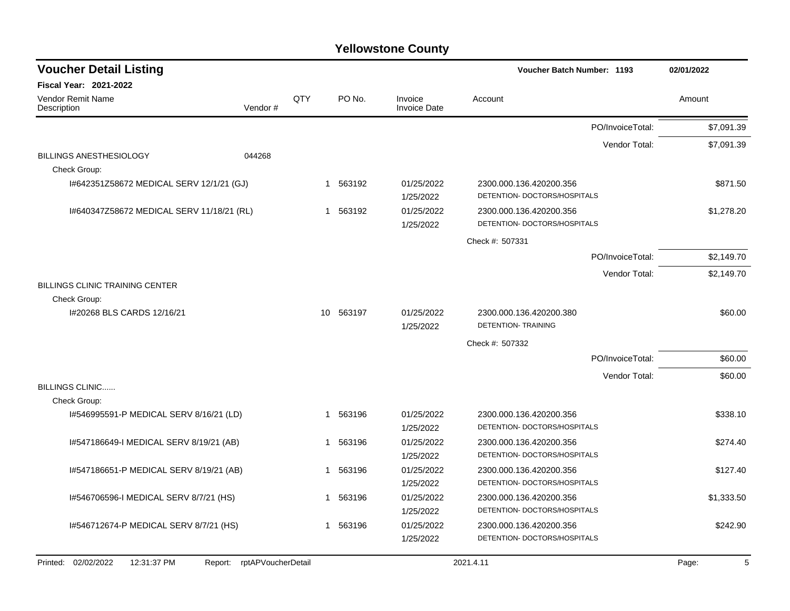|                                                        |                    |                                                            |             |                         |                                                         | 02/01/2022       |            |
|--------------------------------------------------------|--------------------|------------------------------------------------------------|-------------|-------------------------|---------------------------------------------------------|------------------|------------|
| <b>Fiscal Year: 2021-2022</b>                          |                    |                                                            |             |                         |                                                         |                  |            |
| <b>Vendor Remit Name</b><br>Description                | Vendor#            | QTY<br>PO No.<br>Invoice<br>Account<br><b>Invoice Date</b> |             |                         | Amount                                                  |                  |            |
|                                                        |                    |                                                            |             |                         |                                                         | PO/InvoiceTotal: | \$7,091.39 |
|                                                        |                    |                                                            |             |                         |                                                         | Vendor Total:    | \$7,091.39 |
| <b>BILLINGS ANESTHESIOLOGY</b><br>Check Group:         | 044268             |                                                            |             |                         |                                                         |                  |            |
| 1#642351Z58672 MEDICAL SERV 12/1/21 (GJ)               |                    |                                                            | 563192<br>1 | 01/25/2022<br>1/25/2022 | 2300.000.136.420200.356<br>DETENTION- DOCTORS/HOSPITALS |                  | \$871.50   |
| 1#640347Z58672 MEDICAL SERV 11/18/21 (RL)              |                    |                                                            | 563192<br>1 | 01/25/2022<br>1/25/2022 | 2300.000.136.420200.356<br>DETENTION- DOCTORS/HOSPITALS |                  | \$1,278.20 |
|                                                        |                    |                                                            |             |                         | Check #: 507331                                         |                  |            |
|                                                        |                    |                                                            |             |                         |                                                         | PO/InvoiceTotal: | \$2,149.70 |
|                                                        |                    |                                                            |             |                         |                                                         | Vendor Total:    | \$2,149.70 |
| <b>BILLINGS CLINIC TRAINING CENTER</b><br>Check Group: |                    |                                                            |             |                         |                                                         |                  |            |
| 1#20268 BLS CARDS 12/16/21                             |                    |                                                            | 10 563197   | 01/25/2022<br>1/25/2022 | 2300.000.136.420200.380<br><b>DETENTION- TRAINING</b>   |                  | \$60.00    |
|                                                        |                    |                                                            |             |                         | Check #: 507332                                         |                  |            |
|                                                        |                    |                                                            |             |                         |                                                         | PO/InvoiceTotal: | \$60.00    |
|                                                        |                    |                                                            |             |                         |                                                         | Vendor Total:    | \$60.00    |
| <b>BILLINGS CLINIC</b>                                 |                    |                                                            |             |                         |                                                         |                  |            |
| Check Group:                                           |                    |                                                            |             |                         |                                                         |                  |            |
| 1#546995591-P MEDICAL SERV 8/16/21 (LD)                |                    |                                                            | 563196<br>1 | 01/25/2022<br>1/25/2022 | 2300.000.136.420200.356<br>DETENTION- DOCTORS/HOSPITALS |                  | \$338.10   |
| I#547186649-I MEDICAL SERV 8/19/21 (AB)                |                    |                                                            | 563196<br>1 | 01/25/2022              | 2300.000.136.420200.356                                 |                  | \$274.40   |
|                                                        |                    |                                                            |             | 1/25/2022               | DETENTION- DOCTORS/HOSPITALS                            |                  |            |
| 1#547186651-P MEDICAL SERV 8/19/21 (AB)                |                    |                                                            | 563196<br>1 | 01/25/2022<br>1/25/2022 | 2300.000.136.420200.356<br>DETENTION- DOCTORS/HOSPITALS |                  | \$127.40   |
| 1#546706596-1 MEDICAL SERV 8/7/21 (HS)                 |                    |                                                            | 563196<br>1 | 01/25/2022              | 2300.000.136.420200.356                                 |                  | \$1,333.50 |
|                                                        |                    |                                                            |             | 1/25/2022               | DETENTION- DOCTORS/HOSPITALS                            |                  |            |
| I#546712674-P MEDICAL SERV 8/7/21 (HS)                 |                    |                                                            | 1 563196    | 01/25/2022              | 2300.000.136.420200.356                                 |                  | \$242.90   |
|                                                        |                    |                                                            |             | 1/25/2022               | DETENTION- DOCTORS/HOSPITALS                            |                  |            |
| Printed: 02/02/2022<br>12:31:37 PM<br>Report:          | rptAPVoucherDetail |                                                            |             |                         | 2021.4.11                                               |                  | 5<br>Page: |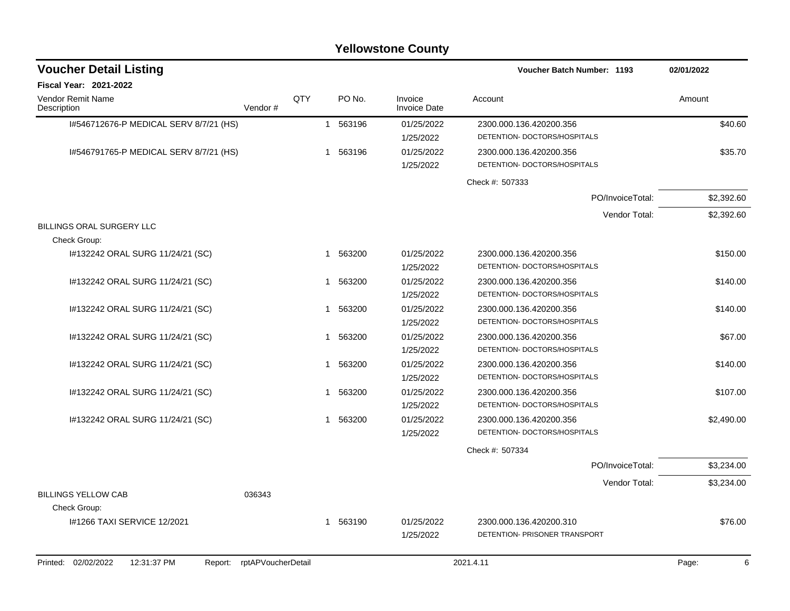| <b>Voucher Detail Listing</b>                 |                    |     |                        |                                | <b>Voucher Batch Number: 1193</b>                        | 02/01/2022 |
|-----------------------------------------------|--------------------|-----|------------------------|--------------------------------|----------------------------------------------------------|------------|
| <b>Fiscal Year: 2021-2022</b>                 |                    |     |                        |                                |                                                          |            |
| <b>Vendor Remit Name</b><br>Description       | Vendor#            | QTY | PO No.                 | Invoice<br><b>Invoice Date</b> | Account                                                  | Amount     |
| I#546712676-P MEDICAL SERV 8/7/21 (HS)        |                    |     | 1 563196               | 01/25/2022<br>1/25/2022        | 2300.000.136.420200.356<br>DETENTION- DOCTORS/HOSPITALS  | \$40.60    |
| 1#546791765-P MEDICAL SERV 8/7/21 (HS)        |                    |     | 1 563196               | 01/25/2022<br>1/25/2022        | 2300.000.136.420200.356<br>DETENTION- DOCTORS/HOSPITALS  | \$35.70    |
|                                               |                    |     |                        |                                | Check #: 507333                                          |            |
|                                               |                    |     |                        |                                | PO/InvoiceTotal:                                         | \$2,392.60 |
|                                               |                    |     |                        |                                | Vendor Total:                                            | \$2,392.60 |
| BILLINGS ORAL SURGERY LLC<br>Check Group:     |                    |     |                        |                                |                                                          |            |
| I#132242 ORAL SURG 11/24/21 (SC)              |                    |     | 563200<br>$\mathbf 1$  | 01/25/2022<br>1/25/2022        | 2300.000.136.420200.356<br>DETENTION- DOCTORS/HOSPITALS  | \$150.00   |
| I#132242 ORAL SURG 11/24/21 (SC)              |                    |     | 1 563200               | 01/25/2022<br>1/25/2022        | 2300.000.136.420200.356<br>DETENTION- DOCTORS/HOSPITALS  | \$140.00   |
| #132242 ORAL SURG 11/24/21 (SC)               |                    |     | 563200<br>$\mathbf{1}$ | 01/25/2022<br>1/25/2022        | 2300.000.136.420200.356<br>DETENTION- DOCTORS/HOSPITALS  | \$140.00   |
| I#132242 ORAL SURG 11/24/21 (SC)              |                    |     | 1 563200               | 01/25/2022<br>1/25/2022        | 2300.000.136.420200.356<br>DETENTION- DOCTORS/HOSPITALS  | \$67.00    |
| #132242 ORAL SURG 11/24/21 (SC)               |                    |     | 1 563200               | 01/25/2022<br>1/25/2022        | 2300.000.136.420200.356<br>DETENTION- DOCTORS/HOSPITALS  | \$140.00   |
| #132242 ORAL SURG 11/24/21 (SC)               |                    |     | 563200<br>$\mathbf{1}$ | 01/25/2022<br>1/25/2022        | 2300.000.136.420200.356<br>DETENTION- DOCTORS/HOSPITALS  | \$107.00   |
| #132242 ORAL SURG 11/24/21 (SC)               |                    |     | 1 563200               | 01/25/2022<br>1/25/2022        | 2300.000.136.420200.356<br>DETENTION- DOCTORS/HOSPITALS  | \$2,490.00 |
|                                               |                    |     |                        |                                | Check #: 507334                                          |            |
|                                               |                    |     |                        |                                | PO/InvoiceTotal:                                         | \$3,234.00 |
|                                               |                    |     |                        |                                | Vendor Total:                                            | \$3,234.00 |
| <b>BILLINGS YELLOW CAB</b><br>Check Group:    | 036343             |     |                        |                                |                                                          |            |
| I#1266 TAXI SERVICE 12/2021                   |                    |     | 563190<br>$\mathbf 1$  | 01/25/2022<br>1/25/2022        | 2300.000.136.420200.310<br>DETENTION- PRISONER TRANSPORT | \$76.00    |
| Printed: 02/02/2022<br>12:31:37 PM<br>Report: | rptAPVoucherDetail |     |                        |                                | 2021.4.11                                                | 6<br>Page: |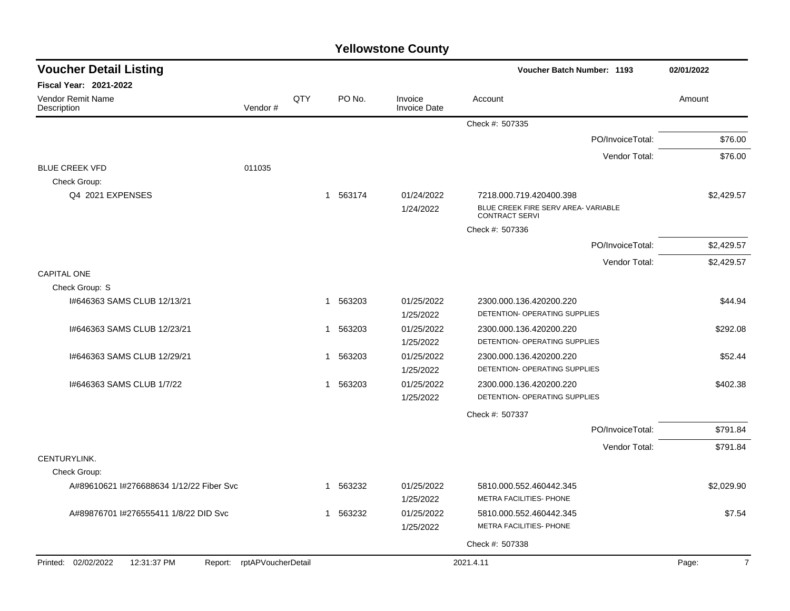| <b>Yellowstone County</b> |  |
|---------------------------|--|
|---------------------------|--|

| <b>Voucher Detail Listing</b>            |                            |     |                        |                                | <b>Voucher Batch Number: 1193</b>                            | 02/01/2022              |
|------------------------------------------|----------------------------|-----|------------------------|--------------------------------|--------------------------------------------------------------|-------------------------|
| Fiscal Year: 2021-2022                   |                            |     |                        |                                |                                                              |                         |
| Vendor Remit Name<br>Description         | Vendor#                    | QTY | PO No.                 | Invoice<br><b>Invoice Date</b> | Account                                                      | Amount                  |
|                                          |                            |     |                        |                                | Check #: 507335                                              |                         |
|                                          |                            |     |                        |                                | PO/InvoiceTotal:                                             | \$76.00                 |
|                                          |                            |     |                        |                                | Vendor Total:                                                | \$76.00                 |
| <b>BLUE CREEK VFD</b>                    | 011035                     |     |                        |                                |                                                              |                         |
| Check Group:                             |                            |     |                        |                                |                                                              |                         |
| Q4 2021 EXPENSES                         |                            |     | 1 563174               | 01/24/2022                     | 7218.000.719.420400.398                                      | \$2,429.57              |
|                                          |                            |     |                        | 1/24/2022                      | BLUE CREEK FIRE SERV AREA- VARIABLE<br><b>CONTRACT SERVI</b> |                         |
|                                          |                            |     |                        |                                | Check #: 507336                                              |                         |
|                                          |                            |     |                        |                                | PO/InvoiceTotal:                                             | \$2,429.57              |
|                                          |                            |     |                        |                                | Vendor Total:                                                | \$2,429.57              |
| CAPITAL ONE                              |                            |     |                        |                                |                                                              |                         |
| Check Group: S                           |                            |     |                        |                                |                                                              |                         |
| 1#646363 SAMS CLUB 12/13/21              |                            |     | 1 563203               | 01/25/2022                     | 2300.000.136.420200.220                                      | \$44.94                 |
|                                          |                            |     |                        | 1/25/2022                      | DETENTION- OPERATING SUPPLIES                                |                         |
| I#646363 SAMS CLUB 12/23/21              |                            |     | 563203<br>$\mathbf{1}$ | 01/25/2022                     | 2300.000.136.420200.220                                      | \$292.08                |
|                                          |                            |     |                        | 1/25/2022                      | DETENTION- OPERATING SUPPLIES                                |                         |
| I#646363 SAMS CLUB 12/29/21              |                            |     | 563203<br>1            | 01/25/2022                     | 2300.000.136.420200.220<br>DETENTION- OPERATING SUPPLIES     | \$52.44                 |
| 1#646363 SAMS CLUB 1/7/22                |                            |     | 1 563203               | 1/25/2022<br>01/25/2022        | 2300.000.136.420200.220                                      | \$402.38                |
|                                          |                            |     |                        | 1/25/2022                      | DETENTION- OPERATING SUPPLIES                                |                         |
|                                          |                            |     |                        |                                |                                                              |                         |
|                                          |                            |     |                        |                                | Check #: 507337                                              |                         |
|                                          |                            |     |                        |                                | PO/InvoiceTotal:                                             | \$791.84                |
| CENTURYLINK.                             |                            |     |                        |                                | Vendor Total:                                                | \$791.84                |
| Check Group:                             |                            |     |                        |                                |                                                              |                         |
| A#89610621 I#276688634 1/12/22 Fiber Svc |                            |     | 563232<br>$\mathbf{1}$ | 01/25/2022                     | 5810.000.552.460442.345                                      | \$2,029.90              |
|                                          |                            |     |                        | 1/25/2022                      | METRA FACILITIES- PHONE                                      |                         |
| A#89876701 I#276555411 1/8/22 DID Svc    |                            |     | 563232<br>$\mathbf{1}$ | 01/25/2022                     | 5810.000.552.460442.345                                      | \$7.54                  |
|                                          |                            |     |                        | 1/25/2022                      | METRA FACILITIES- PHONE                                      |                         |
|                                          |                            |     |                        |                                | Check #: 507338                                              |                         |
| Printed: 02/02/2022<br>12:31:37 PM       | Report: rptAPVoucherDetail |     |                        |                                | 2021.4.11                                                    | $\overline{7}$<br>Page: |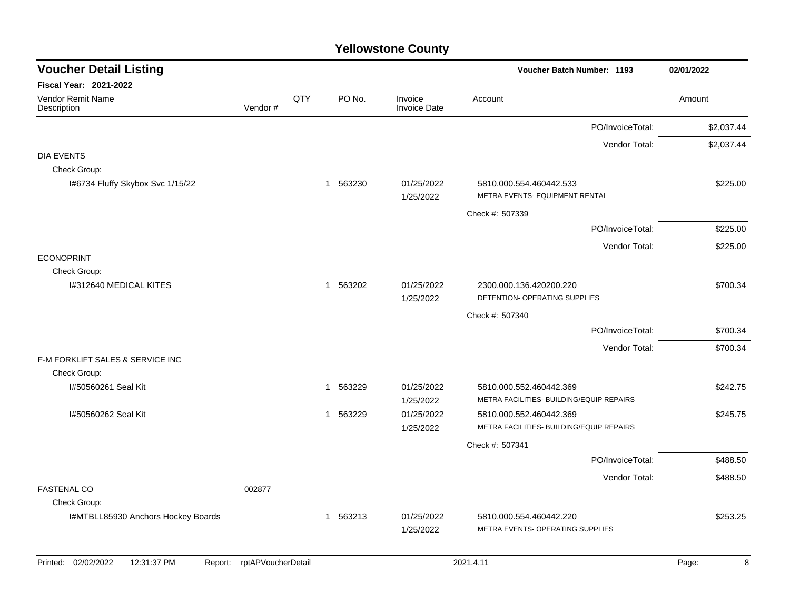| <b>Voucher Detail Listing</b>                 |                    |     |          |                                | Voucher Batch Number: 1193                                          | 02/01/2022 |
|-----------------------------------------------|--------------------|-----|----------|--------------------------------|---------------------------------------------------------------------|------------|
| <b>Fiscal Year: 2021-2022</b>                 |                    |     |          |                                |                                                                     |            |
| Vendor Remit Name<br>Description              | Vendor#            | QTY | PO No.   | Invoice<br><b>Invoice Date</b> | Account                                                             | Amount     |
|                                               |                    |     |          |                                | PO/InvoiceTotal:                                                    | \$2,037.44 |
| <b>DIA EVENTS</b><br>Check Group:             |                    |     |          |                                | Vendor Total:                                                       | \$2,037.44 |
| I#6734 Fluffy Skybox Svc 1/15/22              |                    |     | 1 563230 | 01/25/2022<br>1/25/2022        | 5810.000.554.460442.533<br>METRA EVENTS- EQUIPMENT RENTAL           | \$225.00   |
|                                               |                    |     |          |                                | Check #: 507339                                                     |            |
|                                               |                    |     |          |                                | PO/InvoiceTotal:                                                    | \$225.00   |
| <b>ECONOPRINT</b>                             |                    |     |          |                                | Vendor Total:                                                       | \$225.00   |
| Check Group:<br>I#312640 MEDICAL KITES        |                    |     | 1 563202 | 01/25/2022<br>1/25/2022        | 2300.000.136.420200.220<br>DETENTION- OPERATING SUPPLIES            | \$700.34   |
|                                               |                    |     |          |                                | Check #: 507340                                                     |            |
|                                               |                    |     |          |                                | PO/InvoiceTotal:                                                    | \$700.34   |
| F-M FORKLIFT SALES & SERVICE INC              |                    |     |          |                                | Vendor Total:                                                       | \$700.34   |
| Check Group:                                  |                    |     |          |                                |                                                                     |            |
| I#50560261 Seal Kit                           |                    |     | 1 563229 | 01/25/2022<br>1/25/2022        | 5810.000.552.460442.369<br>METRA FACILITIES- BUILDING/EQUIP REPAIRS | \$242.75   |
| I#50560262 Seal Kit                           |                    |     | 1 563229 | 01/25/2022<br>1/25/2022        | 5810.000.552.460442.369<br>METRA FACILITIES- BUILDING/EQUIP REPAIRS | \$245.75   |
|                                               |                    |     |          |                                | Check #: 507341                                                     |            |
|                                               |                    |     |          |                                | PO/InvoiceTotal:                                                    | \$488.50   |
|                                               |                    |     |          |                                | Vendor Total:                                                       | \$488.50   |
| <b>FASTENAL CO</b><br>Check Group:            | 002877             |     |          |                                |                                                                     |            |
| I#MTBLL85930 Anchors Hockey Boards            |                    |     | 1 563213 | 01/25/2022<br>1/25/2022        | 5810.000.554.460442.220<br>METRA EVENTS- OPERATING SUPPLIES         | \$253.25   |
| Printed: 02/02/2022<br>12:31:37 PM<br>Report: | rptAPVoucherDetail |     |          |                                | 2021.4.11                                                           | 8<br>Page: |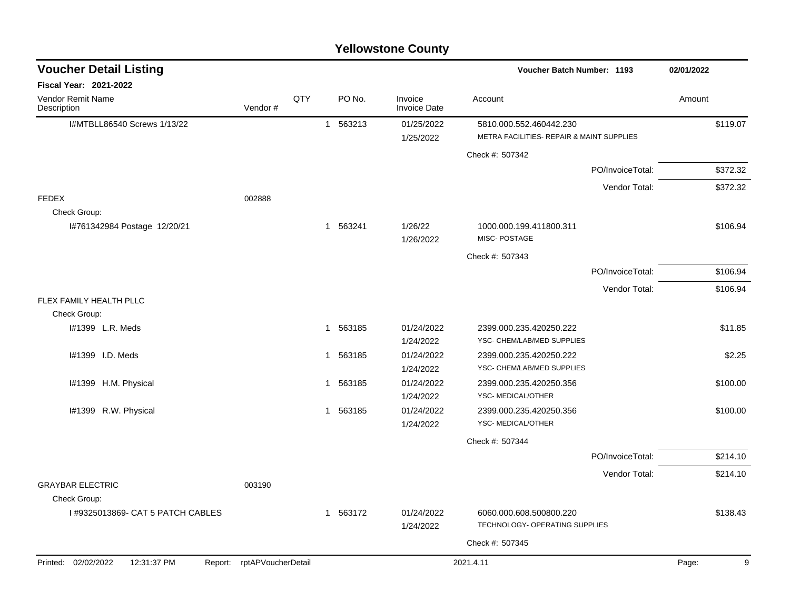| <b>Voucher Detail Listing</b>                 |                    |     |          |                                | Voucher Batch Number: 1193                                           | 02/01/2022                |
|-----------------------------------------------|--------------------|-----|----------|--------------------------------|----------------------------------------------------------------------|---------------------------|
| <b>Fiscal Year: 2021-2022</b>                 |                    |     |          |                                |                                                                      |                           |
| Vendor Remit Name<br>Description              | Vendor#            | QTY | PO No.   | Invoice<br><b>Invoice Date</b> | Account                                                              | Amount                    |
| I#MTBLL86540 Screws 1/13/22                   |                    |     | 1 563213 | 01/25/2022<br>1/25/2022        | 5810.000.552.460442.230<br>METRA FACILITIES- REPAIR & MAINT SUPPLIES | \$119.07                  |
|                                               |                    |     |          |                                | Check #: 507342                                                      |                           |
|                                               |                    |     |          |                                | PO/InvoiceTotal:                                                     | \$372.32                  |
|                                               |                    |     |          |                                |                                                                      | Vendor Total:<br>\$372.32 |
| <b>FEDEX</b>                                  | 002888             |     |          |                                |                                                                      |                           |
| Check Group:<br>I#761342984 Postage 12/20/21  |                    |     | 1 563241 | 1/26/22<br>1/26/2022           | 1000.000.199.411800.311<br>MISC-POSTAGE                              | \$106.94                  |
|                                               |                    |     |          |                                | Check #: 507343                                                      |                           |
|                                               |                    |     |          |                                | PO/InvoiceTotal:                                                     | \$106.94                  |
|                                               |                    |     |          |                                |                                                                      | Vendor Total:<br>\$106.94 |
| FLEX FAMILY HEALTH PLLC<br>Check Group:       |                    |     |          |                                |                                                                      |                           |
| I#1399 L.R. Meds                              |                    |     | 1 563185 | 01/24/2022<br>1/24/2022        | 2399.000.235.420250.222<br>YSC- CHEM/LAB/MED SUPPLIES                | \$11.85                   |
| I#1399 I.D. Meds                              |                    |     | 1 563185 | 01/24/2022<br>1/24/2022        | 2399.000.235.420250.222<br>YSC- CHEM/LAB/MED SUPPLIES                | \$2.25                    |
| I#1399 H.M. Physical                          |                    |     | 1 563185 | 01/24/2022<br>1/24/2022        | 2399.000.235.420250.356<br>YSC- MEDICAL/OTHER                        | \$100.00                  |
| I#1399 R.W. Physical                          |                    |     | 1 563185 | 01/24/2022<br>1/24/2022        | 2399.000.235.420250.356<br>YSC- MEDICAL/OTHER                        | \$100.00                  |
|                                               |                    |     |          |                                | Check #: 507344                                                      |                           |
|                                               |                    |     |          |                                | PO/InvoiceTotal:                                                     | \$214.10                  |
|                                               |                    |     |          |                                |                                                                      | Vendor Total:<br>\$214.10 |
| <b>GRAYBAR ELECTRIC</b><br>Check Group:       | 003190             |     |          |                                |                                                                      |                           |
| I #9325013869- CAT 5 PATCH CABLES             |                    |     | 1 563172 | 01/24/2022<br>1/24/2022        | 6060.000.608.500800.220<br>TECHNOLOGY- OPERATING SUPPLIES            | \$138.43                  |
|                                               |                    |     |          |                                | Check #: 507345                                                      |                           |
| Printed: 02/02/2022<br>12:31:37 PM<br>Report: | rptAPVoucherDetail |     |          |                                | 2021.4.11                                                            | 9<br>Page:                |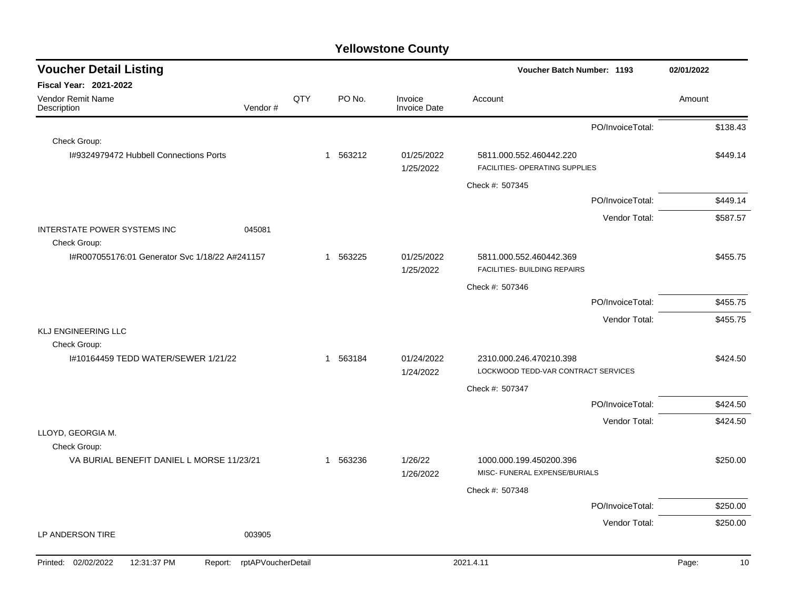| <b>Voucher Detail Listing</b>                          |                    |                        |                                | Voucher Batch Number: 1193                                     | 02/01/2022                |
|--------------------------------------------------------|--------------------|------------------------|--------------------------------|----------------------------------------------------------------|---------------------------|
| <b>Fiscal Year: 2021-2022</b>                          |                    |                        |                                |                                                                |                           |
| <b>Vendor Remit Name</b><br>Vendor#<br>Description     | QTY                | PO No.                 | Invoice<br><b>Invoice Date</b> | Account                                                        | Amount                    |
|                                                        |                    |                        |                                | PO/InvoiceTotal:                                               | \$138.43                  |
| Check Group:                                           |                    |                        |                                |                                                                |                           |
| I#9324979472 Hubbell Connections Ports                 |                    | 563212<br>1            | 01/25/2022<br>1/25/2022        | 5811.000.552.460442.220<br>FACILITIES- OPERATING SUPPLIES      | \$449.14                  |
|                                                        |                    |                        |                                | Check #: 507345                                                |                           |
|                                                        |                    |                        |                                | PO/InvoiceTotal:                                               | \$449.14                  |
|                                                        |                    |                        |                                |                                                                | \$587.57<br>Vendor Total: |
| INTERSTATE POWER SYSTEMS INC<br>045081<br>Check Group: |                    |                        |                                |                                                                |                           |
| I#R007055176:01 Generator Svc 1/18/22 A#241157         |                    | 563225<br>$\mathbf{1}$ | 01/25/2022<br>1/25/2022        | 5811.000.552.460442.369<br>FACILITIES- BUILDING REPAIRS        | \$455.75                  |
|                                                        |                    |                        |                                | Check #: 507346                                                |                           |
|                                                        |                    |                        |                                | PO/InvoiceTotal:                                               | \$455.75                  |
|                                                        |                    |                        |                                |                                                                | Vendor Total:<br>\$455.75 |
| KLJ ENGINEERING LLC                                    |                    |                        |                                |                                                                |                           |
| Check Group:                                           |                    |                        |                                |                                                                |                           |
| I#10164459 TEDD WATER/SEWER 1/21/22                    |                    | 563184<br>1            | 01/24/2022<br>1/24/2022        | 2310.000.246.470210.398<br>LOCKWOOD TEDD-VAR CONTRACT SERVICES | \$424.50                  |
|                                                        |                    |                        |                                | Check #: 507347                                                |                           |
|                                                        |                    |                        |                                | PO/InvoiceTotal:                                               | \$424.50                  |
|                                                        |                    |                        |                                |                                                                | Vendor Total:<br>\$424.50 |
| LLOYD, GEORGIA M.                                      |                    |                        |                                |                                                                |                           |
| Check Group:                                           |                    |                        |                                |                                                                |                           |
| VA BURIAL BENEFIT DANIEL L MORSE 11/23/21              |                    | 563236<br>1            | 1/26/22<br>1/26/2022           | 1000.000.199.450200.396<br>MISC- FUNERAL EXPENSE/BURIALS       | \$250.00                  |
|                                                        |                    |                        |                                | Check #: 507348                                                |                           |
|                                                        |                    |                        |                                | PO/InvoiceTotal:                                               | \$250.00                  |
|                                                        |                    |                        |                                |                                                                | Vendor Total:<br>\$250.00 |
| LP ANDERSON TIRE<br>003905                             |                    |                        |                                |                                                                |                           |
| 02/02/2022<br>12:31:37 PM<br>Printed:<br>Report:       | rptAPVoucherDetail |                        |                                | 2021.4.11                                                      | Page:<br>10               |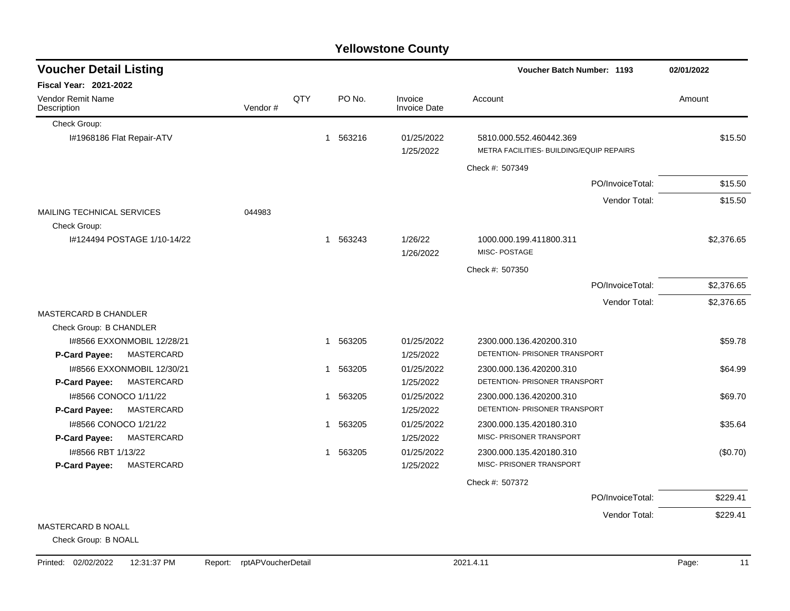|                                         |         |     |                        | <b>Yellowstone County</b>      |                                                                     |                  |            |
|-----------------------------------------|---------|-----|------------------------|--------------------------------|---------------------------------------------------------------------|------------------|------------|
| <b>Voucher Detail Listing</b>           |         |     |                        |                                | <b>Voucher Batch Number: 1193</b>                                   |                  | 02/01/2022 |
| <b>Fiscal Year: 2021-2022</b>           |         |     |                        |                                |                                                                     |                  |            |
| <b>Vendor Remit Name</b><br>Description | Vendor# | QTY | PO No.                 | Invoice<br><b>Invoice Date</b> | Account                                                             |                  | Amount     |
| Check Group:                            |         |     |                        |                                |                                                                     |                  |            |
| I#1968186 Flat Repair-ATV               |         |     | 563216<br>1            | 01/25/2022<br>1/25/2022        | 5810.000.552.460442.369<br>METRA FACILITIES- BUILDING/EQUIP REPAIRS |                  | \$15.50    |
|                                         |         |     |                        |                                | Check #: 507349                                                     |                  |            |
|                                         |         |     |                        |                                |                                                                     | PO/InvoiceTotal: | \$15.50    |
|                                         |         |     |                        |                                |                                                                     | Vendor Total:    | \$15.50    |
| <b>MAILING TECHNICAL SERVICES</b>       | 044983  |     |                        |                                |                                                                     |                  |            |
| Check Group:                            |         |     |                        |                                |                                                                     |                  |            |
| I#124494 POSTAGE 1/10-14/22             |         |     | 1 563243               | 1/26/22                        | 1000.000.199.411800.311                                             |                  | \$2,376.65 |
|                                         |         |     |                        | 1/26/2022                      | MISC-POSTAGE                                                        |                  |            |
|                                         |         |     |                        |                                | Check #: 507350                                                     |                  |            |
|                                         |         |     |                        |                                |                                                                     | PO/InvoiceTotal: | \$2,376.65 |
|                                         |         |     |                        |                                |                                                                     | Vendor Total:    | \$2,376.65 |
| <b>MASTERCARD B CHANDLER</b>            |         |     |                        |                                |                                                                     |                  |            |
| Check Group: B CHANDLER                 |         |     |                        |                                |                                                                     |                  |            |
| 1#8566 EXXONMOBIL 12/28/21              |         |     | 563205<br>1            | 01/25/2022                     | 2300.000.136.420200.310                                             |                  | \$59.78    |
| MASTERCARD<br>P-Card Payee:             |         |     |                        | 1/25/2022                      | DETENTION- PRISONER TRANSPORT                                       |                  |            |
| I#8566 EXXONMOBIL 12/30/21              |         |     | 1 563205               | 01/25/2022                     | 2300.000.136.420200.310                                             |                  | \$64.99    |
| MASTERCARD<br>P-Card Payee:             |         |     |                        | 1/25/2022                      | DETENTION- PRISONER TRANSPORT                                       |                  |            |
| I#8566 CONOCO 1/11/22                   |         |     | 563205<br>$\mathbf{1}$ | 01/25/2022                     | 2300.000.136.420200.310                                             |                  | \$69.70    |
| MASTERCARD<br>P-Card Payee:             |         |     |                        | 1/25/2022                      | DETENTION- PRISONER TRANSPORT                                       |                  |            |
| 1#8566 CONOCO 1/21/22                   |         |     | 563205<br>1            | 01/25/2022                     | 2300.000.135.420180.310                                             |                  | \$35.64    |
| MASTERCARD<br>P-Card Payee:             |         |     |                        | 1/25/2022                      | MISC- PRISONER TRANSPORT                                            |                  |            |
| I#8566 RBT 1/13/22                      |         |     | 563205<br>1            | 01/25/2022                     | 2300.000.135.420180.310                                             |                  | (\$0.70)   |
| <b>MASTERCARD</b><br>P-Card Payee:      |         |     |                        | 1/25/2022                      | MISC- PRISONER TRANSPORT                                            |                  |            |
|                                         |         |     |                        |                                | Check #: 507372                                                     |                  |            |
|                                         |         |     |                        |                                |                                                                     | PO/InvoiceTotal: | \$229.41   |
|                                         |         |     |                        |                                |                                                                     | Vendor Total:    | \$229.41   |
| MASTERCARD B NOALL                      |         |     |                        |                                |                                                                     |                  |            |

## MASTERCARD B NOALL

Check Group: B NOALL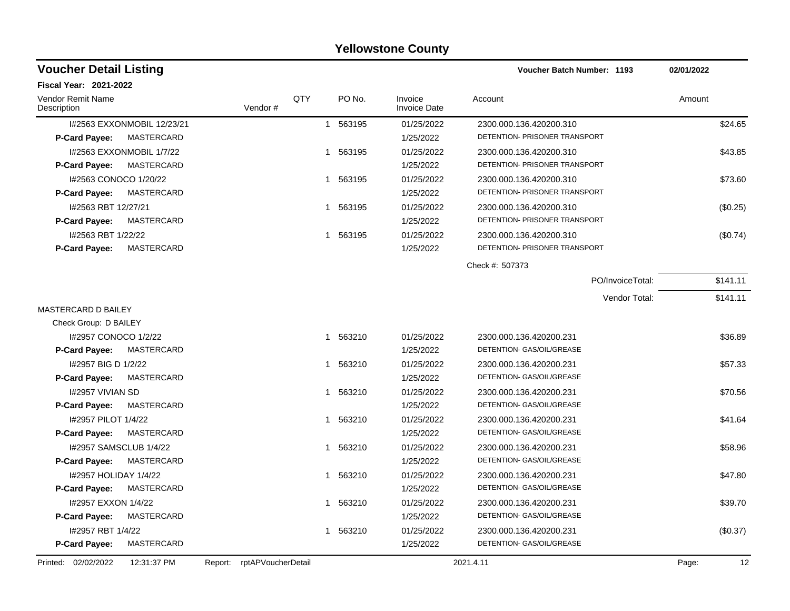| <b>Voucher Detail Listing</b>             |                               |              |          |                                | <b>Voucher Batch Number: 1193</b> | 02/01/2022  |  |
|-------------------------------------------|-------------------------------|--------------|----------|--------------------------------|-----------------------------------|-------------|--|
| Fiscal Year: 2021-2022                    |                               |              |          |                                |                                   |             |  |
| Vendor Remit Name<br>Description          | Vendor#                       | QTY          | PO No.   | Invoice<br><b>Invoice Date</b> | Account                           | Amount      |  |
| I#2563 EXXONMOBIL 12/23/21                |                               |              | 1 563195 | 01/25/2022                     | 2300.000.136.420200.310           | \$24.65     |  |
| <b>MASTERCARD</b><br>P-Card Payee:        |                               |              |          | 1/25/2022                      | DETENTION- PRISONER TRANSPORT     |             |  |
| I#2563 EXXONMOBIL 1/7/22                  |                               |              | 1 563195 | 01/25/2022                     | 2300.000.136.420200.310           | \$43.85     |  |
| <b>P-Card Payee:</b><br>MASTERCARD        |                               |              |          | 1/25/2022                      | DETENTION- PRISONER TRANSPORT     |             |  |
| I#2563 CONOCO 1/20/22                     |                               |              | 1 563195 | 01/25/2022                     | 2300.000.136.420200.310           | \$73.60     |  |
| <b>MASTERCARD</b><br><b>P-Card Payee:</b> |                               |              |          | 1/25/2022                      | DETENTION- PRISONER TRANSPORT     |             |  |
| I#2563 RBT 12/27/21                       |                               |              | 1 563195 | 01/25/2022                     | 2300.000.136.420200.310           | (\$0.25)    |  |
| MASTERCARD<br><b>P-Card Payee:</b>        |                               |              |          | 1/25/2022                      | DETENTION- PRISONER TRANSPORT     |             |  |
| #2563 RBT 1/22/22                         |                               | $\mathbf{1}$ | 563195   | 01/25/2022                     | 2300.000.136.420200.310           | (\$0.74)    |  |
| <b>MASTERCARD</b><br>P-Card Payee:        |                               |              |          | 1/25/2022                      | DETENTION- PRISONER TRANSPORT     |             |  |
|                                           |                               |              |          |                                | Check #: 507373                   |             |  |
|                                           |                               |              |          |                                | PO/InvoiceTotal:                  | \$141.11    |  |
|                                           |                               |              |          |                                | Vendor Total:                     | \$141.11    |  |
| <b>MASTERCARD D BAILEY</b>                |                               |              |          |                                |                                   |             |  |
| Check Group: D BAILEY                     |                               |              |          |                                |                                   |             |  |
| I#2957 CONOCO 1/2/22                      |                               |              | 1 563210 | 01/25/2022                     | 2300.000.136.420200.231           | \$36.89     |  |
| MASTERCARD<br><b>P-Card Payee:</b>        |                               |              |          | 1/25/2022                      | DETENTION- GAS/OIL/GREASE         |             |  |
| I#2957 BIG D 1/2/22                       |                               |              | 1 563210 | 01/25/2022                     | 2300.000.136.420200.231           | \$57.33     |  |
| <b>MASTERCARD</b><br><b>P-Card Payee:</b> |                               |              |          | 1/25/2022                      | DETENTION- GAS/OIL/GREASE         |             |  |
| <b>I#2957 VIVIAN SD</b>                   |                               |              | 563210   | 01/25/2022                     | 2300.000.136.420200.231           | \$70.56     |  |
| <b>MASTERCARD</b><br><b>P-Card Payee:</b> |                               |              |          | 1/25/2022                      | DETENTION- GAS/OIL/GREASE         |             |  |
| I#2957 PILOT 1/4/22                       |                               | 1            | 563210   | 01/25/2022                     | 2300.000.136.420200.231           | \$41.64     |  |
| MASTERCARD<br><b>P-Card Payee:</b>        |                               |              |          | 1/25/2022                      | DETENTION- GAS/OIL/GREASE         |             |  |
| I#2957 SAMSCLUB 1/4/22                    |                               | 1            | 563210   | 01/25/2022                     | 2300.000.136.420200.231           | \$58.96     |  |
| MASTERCARD<br><b>P-Card Payee:</b>        |                               |              |          | 1/25/2022                      | DETENTION- GAS/OIL/GREASE         |             |  |
| I#2957 HOLIDAY 1/4/22                     |                               |              | 1 563210 | 01/25/2022                     | 2300.000.136.420200.231           | \$47.80     |  |
| MASTERCARD<br><b>P-Card Payee:</b>        |                               |              |          | 1/25/2022                      | DETENTION- GAS/OIL/GREASE         |             |  |
| 1#2957 EXXON 1/4/22                       |                               |              | 1 563210 | 01/25/2022                     | 2300.000.136.420200.231           | \$39.70     |  |
| P-Card Payee:<br>MASTERCARD               |                               |              |          | 1/25/2022                      | DETENTION- GAS/OIL/GREASE         |             |  |
| I#2957 RBT 1/4/22                         |                               |              | 1 563210 | 01/25/2022                     | 2300.000.136.420200.231           | (\$0.37)    |  |
| MASTERCARD<br>P-Card Payee:               |                               |              |          | 1/25/2022                      | DETENTION- GAS/OIL/GREASE         |             |  |
| Printed: 02/02/2022<br>12:31:37 PM        | rptAPVoucherDetail<br>Report: |              |          |                                | 2021.4.11                         | 12<br>Page: |  |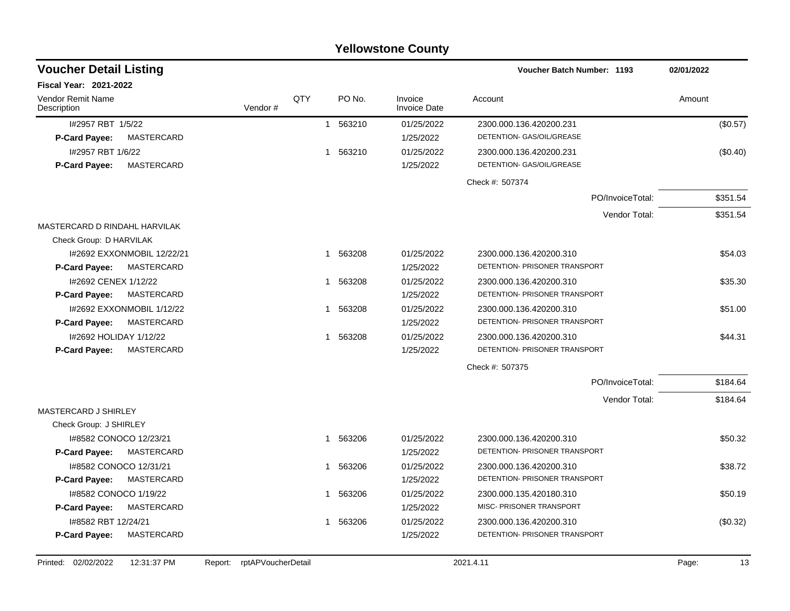| <b>Yellowstone County</b>                                                       |         |     |                        |                         |                                                          |            |  |  |  |  |  |
|---------------------------------------------------------------------------------|---------|-----|------------------------|-------------------------|----------------------------------------------------------|------------|--|--|--|--|--|
| <b>Voucher Detail Listing</b>                                                   |         |     |                        |                         | <b>Voucher Batch Number: 1193</b>                        | 02/01/2022 |  |  |  |  |  |
| <b>Fiscal Year: 2021-2022</b>                                                   |         |     |                        |                         |                                                          |            |  |  |  |  |  |
| <b>Vendor Remit Name</b><br>Description                                         | Vendor# | QTY | PO No.                 | Invoice<br>Invoice Date | Account                                                  | Amount     |  |  |  |  |  |
| I#2957 RBT 1/5/22<br><b>P-Card Payee:</b><br>MASTERCARD                         |         |     | 563210<br>$\mathbf{1}$ | 01/25/2022<br>1/25/2022 | 2300.000.136.420200.231<br>DETENTION- GAS/OIL/GREASE     | (\$0.57)   |  |  |  |  |  |
| I#2957 RBT 1/6/22<br>P-Card Payee:<br>MASTERCARD                                |         |     | 563210<br>$\mathbf{1}$ | 01/25/2022<br>1/25/2022 | 2300.000.136.420200.231<br>DETENTION- GAS/OIL/GREASE     | (\$0.40)   |  |  |  |  |  |
|                                                                                 |         |     |                        |                         | Check #: 507374                                          |            |  |  |  |  |  |
|                                                                                 |         |     |                        |                         | PO/InvoiceTotal:                                         | \$351.54   |  |  |  |  |  |
|                                                                                 |         |     |                        |                         | Vendor Total:                                            | \$351.54   |  |  |  |  |  |
| MASTERCARD D RINDAHL HARVILAK<br>Check Group: D HARVILAK                        |         |     |                        |                         |                                                          |            |  |  |  |  |  |
| I#2692 EXXONMOBIL 12/22/21<br>MASTERCARD<br><b>P-Card Payee:</b>                |         |     | 1 563208               | 01/25/2022<br>1/25/2022 | 2300.000.136.420200.310<br>DETENTION- PRISONER TRANSPORT | \$54.03    |  |  |  |  |  |
| I#2692 CENEX 1/12/22<br>MASTERCARD<br><b>P-Card Payee:</b>                      |         |     | 563208<br>$\mathbf 1$  | 01/25/2022<br>1/25/2022 | 2300.000.136.420200.310<br>DETENTION- PRISONER TRANSPORT | \$35.30    |  |  |  |  |  |
| I#2692 EXXONMOBIL 1/12/22<br>MASTERCARD<br>P-Card Payee:                        |         |     | 563208<br>-1           | 01/25/2022<br>1/25/2022 | 2300.000.136.420200.310<br>DETENTION- PRISONER TRANSPORT | \$51.00    |  |  |  |  |  |
| I#2692 HOLIDAY 1/12/22<br>MASTERCARD<br>P-Card Payee:                           |         |     | 563208<br>-1           | 01/25/2022<br>1/25/2022 | 2300.000.136.420200.310<br>DETENTION- PRISONER TRANSPORT | \$44.31    |  |  |  |  |  |
|                                                                                 |         |     |                        |                         | Check #: 507375                                          |            |  |  |  |  |  |
|                                                                                 |         |     |                        |                         | PO/InvoiceTotal:                                         | \$184.64   |  |  |  |  |  |
|                                                                                 |         |     |                        |                         | Vendor Total:                                            | \$184.64   |  |  |  |  |  |
| MASTERCARD J SHIRLEY                                                            |         |     |                        |                         |                                                          |            |  |  |  |  |  |
| Check Group: J SHIRLEY<br>I#8582 CONOCO 12/23/21<br>P-Card Payee:<br>MASTERCARD |         |     | 563206<br>$\mathbf 1$  | 01/25/2022<br>1/25/2022 | 2300.000.136.420200.310<br>DETENTION- PRISONER TRANSPORT | \$50.32    |  |  |  |  |  |
| 1#8582 CONOCO 12/31/21                                                          |         |     | 563206                 | 01/25/2022              | 2300.000.136.420200.310                                  | \$38.72    |  |  |  |  |  |
| P-Card Payee:<br>MASTERCARD                                                     |         |     |                        | 1/25/2022               | DETENTION- PRISONER TRANSPORT                            |            |  |  |  |  |  |
| 1#8582 CONOCO 1/19/22                                                           |         |     | 563206                 | 01/25/2022              | 2300.000.135.420180.310                                  | \$50.19    |  |  |  |  |  |
| P-Card Payee:<br>MASTERCARD                                                     |         |     |                        | 1/25/2022               | MISC- PRISONER TRANSPORT                                 |            |  |  |  |  |  |
| I#8582 RBT 12/24/21<br>P-Card Payee:<br>MASTERCARD                              |         |     | 563206<br>1            | 01/25/2022<br>1/25/2022 | 2300.000.136.420200.310<br>DETENTION- PRISONER TRANSPORT | (\$0.32)   |  |  |  |  |  |

Printed: 02/02/2022 12:31:37 PM Report: rptAPVoucherDetail 2021.4.11 2021.4.11 2021.4.11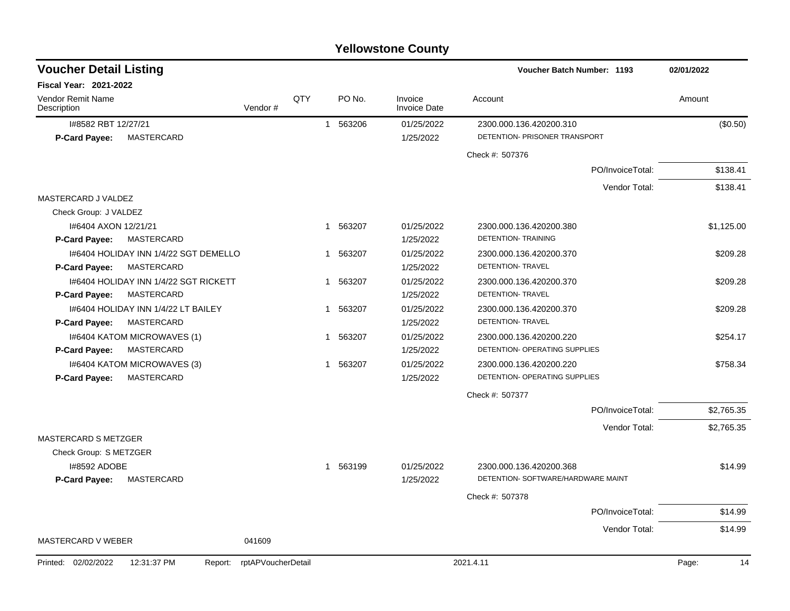| <b>Yellowstone County</b> |  |
|---------------------------|--|
|---------------------------|--|

| <b>Voucher Detail Listing</b>                 |                    |     |                        |                                | Voucher Batch Number: 1193         | 02/01/2022  |
|-----------------------------------------------|--------------------|-----|------------------------|--------------------------------|------------------------------------|-------------|
| <b>Fiscal Year: 2021-2022</b>                 |                    |     |                        |                                |                                    |             |
| Vendor Remit Name<br>Description              | Vendor#            | QTY | PO No.                 | Invoice<br><b>Invoice Date</b> | Account                            | Amount      |
| I#8582 RBT 12/27/21                           |                    |     | 563206<br>$\mathbf{1}$ | 01/25/2022                     | 2300.000.136.420200.310            | (\$0.50)    |
| P-Card Payee:<br>MASTERCARD                   |                    |     |                        | 1/25/2022                      | DETENTION- PRISONER TRANSPORT      |             |
|                                               |                    |     |                        |                                | Check #: 507376                    |             |
|                                               |                    |     |                        |                                | PO/InvoiceTotal:                   | \$138.41    |
|                                               |                    |     |                        |                                | Vendor Total:                      | \$138.41    |
| MASTERCARD J VALDEZ                           |                    |     |                        |                                |                                    |             |
| Check Group: J VALDEZ                         |                    |     |                        |                                |                                    |             |
| 1#6404 AXON 12/21/21                          |                    |     | 563207<br>$\mathbf 1$  | 01/25/2022                     | 2300.000.136.420200.380            | \$1,125.00  |
| P-Card Payee:<br>MASTERCARD                   |                    |     |                        | 1/25/2022                      | <b>DETENTION- TRAINING</b>         |             |
| 1#6404 HOLIDAY INN 1/4/22 SGT DEMELLO         |                    |     | 563207<br>1            | 01/25/2022                     | 2300.000.136.420200.370            | \$209.28    |
| MASTERCARD<br><b>P-Card Payee:</b>            |                    |     |                        | 1/25/2022                      | DETENTION- TRAVEL                  |             |
| 1#6404 HOLIDAY INN 1/4/22 SGT RICKETT         |                    |     | 563207<br>1            | 01/25/2022                     | 2300.000.136.420200.370            | \$209.28    |
| P-Card Payee:<br>MASTERCARD                   |                    |     |                        | 1/25/2022                      | DETENTION- TRAVEL                  |             |
| 1#6404 HOLIDAY INN 1/4/22 LT BAILEY           |                    |     | 563207<br>1            | 01/25/2022                     | 2300.000.136.420200.370            | \$209.28    |
| <b>MASTERCARD</b><br><b>P-Card Payee:</b>     |                    |     |                        | 1/25/2022                      | DETENTION- TRAVEL                  |             |
| 1#6404 KATOM MICROWAVES (1)                   |                    |     | 563207<br>1            | 01/25/2022                     | 2300.000.136.420200.220            | \$254.17    |
| MASTERCARD<br>P-Card Payee:                   |                    |     |                        | 1/25/2022                      | DETENTION- OPERATING SUPPLIES      |             |
| I#6404 KATOM MICROWAVES (3)                   |                    |     | 563207<br>1            | 01/25/2022                     | 2300.000.136.420200.220            | \$758.34    |
| MASTERCARD<br><b>P-Card Payee:</b>            |                    |     |                        | 1/25/2022                      | DETENTION- OPERATING SUPPLIES      |             |
|                                               |                    |     |                        |                                | Check #: 507377                    |             |
|                                               |                    |     |                        |                                | PO/InvoiceTotal:                   | \$2,765.35  |
|                                               |                    |     |                        |                                | Vendor Total:                      | \$2,765.35  |
| <b>MASTERCARD S METZGER</b>                   |                    |     |                        |                                |                                    |             |
| Check Group: S METZGER                        |                    |     |                        |                                |                                    |             |
| <b>I#8592 ADOBE</b>                           |                    |     | 563199<br>$\mathbf{1}$ | 01/25/2022                     | 2300.000.136.420200.368            | \$14.99     |
| P-Card Payee:<br>MASTERCARD                   |                    |     |                        | 1/25/2022                      | DETENTION- SOFTWARE/HARDWARE MAINT |             |
|                                               |                    |     |                        |                                | Check #: 507378                    |             |
|                                               |                    |     |                        |                                | PO/InvoiceTotal:                   | \$14.99     |
|                                               |                    |     |                        |                                | Vendor Total:                      | \$14.99     |
| MASTERCARD V WEBER                            | 041609             |     |                        |                                |                                    |             |
| Printed: 02/02/2022<br>12:31:37 PM<br>Report: | rptAPVoucherDetail |     |                        |                                | 2021.4.11                          | 14<br>Page: |
|                                               |                    |     |                        |                                |                                    |             |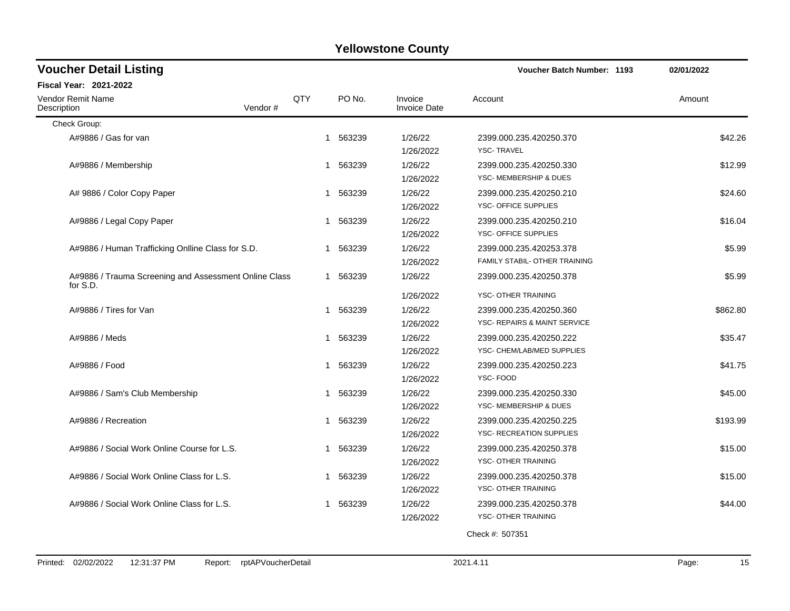| <b>Voucher Detail Listing</b>                                     |              |             |                                   | <b>Voucher Batch Number: 1193</b>                                              | 02/01/2022 |
|-------------------------------------------------------------------|--------------|-------------|-----------------------------------|--------------------------------------------------------------------------------|------------|
| <b>Fiscal Year: 2021-2022</b>                                     |              |             |                                   |                                                                                |            |
| Vendor Remit Name<br>Vendor#<br>Description                       | QTY          | PO No.      | Invoice<br><b>Invoice Date</b>    | Account                                                                        | Amount     |
| Check Group:                                                      |              |             |                                   |                                                                                |            |
| A#9886 / Gas for van                                              | $\mathbf{1}$ | 563239      | 1/26/22<br>1/26/2022              | 2399.000.235.420250.370<br><b>YSC-TRAVEL</b>                                   | \$42.26    |
| A#9886 / Membership                                               | 1            | 563239      | 1/26/22<br>1/26/2022              | 2399.000.235.420250.330<br>YSC- MEMBERSHIP & DUES                              | \$12.99    |
| A# 9886 / Color Copy Paper                                        | 1            | 563239      | 1/26/22<br>1/26/2022              | 2399.000.235.420250.210<br>YSC- OFFICE SUPPLIES                                | \$24.60    |
| A#9886 / Legal Copy Paper                                         |              | 1 563239    | 1/26/22<br>1/26/2022              | 2399.000.235.420250.210<br>YSC- OFFICE SUPPLIES                                | \$16.04    |
| A#9886 / Human Trafficking Onlline Class for S.D.                 | 1            | 563239      | 1/26/22<br>1/26/2022              | 2399.000.235.420253.378<br>FAMILY STABIL- OTHER TRAINING                       | \$5.99     |
| A#9886 / Trauma Screening and Assessment Online Class<br>for S.D. |              | 1 563239    | 1/26/22                           | 2399.000.235.420250.378                                                        | \$5.99     |
| A#9886 / Tires for Van                                            | 1            | 563239      | 1/26/2022<br>1/26/22<br>1/26/2022 | YSC- OTHER TRAINING<br>2399.000.235.420250.360<br>YSC- REPAIRS & MAINT SERVICE | \$862.80   |
| A#9886 / Meds                                                     |              | 563239<br>1 | 1/26/22<br>1/26/2022              | 2399.000.235.420250.222<br>YSC- CHEM/LAB/MED SUPPLIES                          | \$35.47    |
| A#9886 / Food                                                     | 1            | 563239      | 1/26/22<br>1/26/2022              | 2399.000.235.420250.223<br>YSC-FOOD                                            | \$41.75    |
| A#9886 / Sam's Club Membership                                    |              | 563239<br>1 | 1/26/22<br>1/26/2022              | 2399.000.235.420250.330<br>YSC- MEMBERSHIP & DUES                              | \$45.00    |
| A#9886 / Recreation                                               | 1            | 563239      | 1/26/22<br>1/26/2022              | 2399.000.235.420250.225<br>YSC- RECREATION SUPPLIES                            | \$193.99   |
| A#9886 / Social Work Online Course for L.S.                       | 1            | 563239      | 1/26/22<br>1/26/2022              | 2399.000.235.420250.378<br>YSC- OTHER TRAINING                                 | \$15.00    |
| A#9886 / Social Work Online Class for L.S.                        | 1            | 563239      | 1/26/22<br>1/26/2022              | 2399.000.235.420250.378<br>YSC- OTHER TRAINING                                 | \$15.00    |
| A#9886 / Social Work Online Class for L.S.                        |              | 563239<br>1 | 1/26/22<br>1/26/2022              | 2399.000.235.420250.378<br>YSC- OTHER TRAINING                                 | \$44.00    |
|                                                                   |              |             |                                   | Check #: 507351                                                                |            |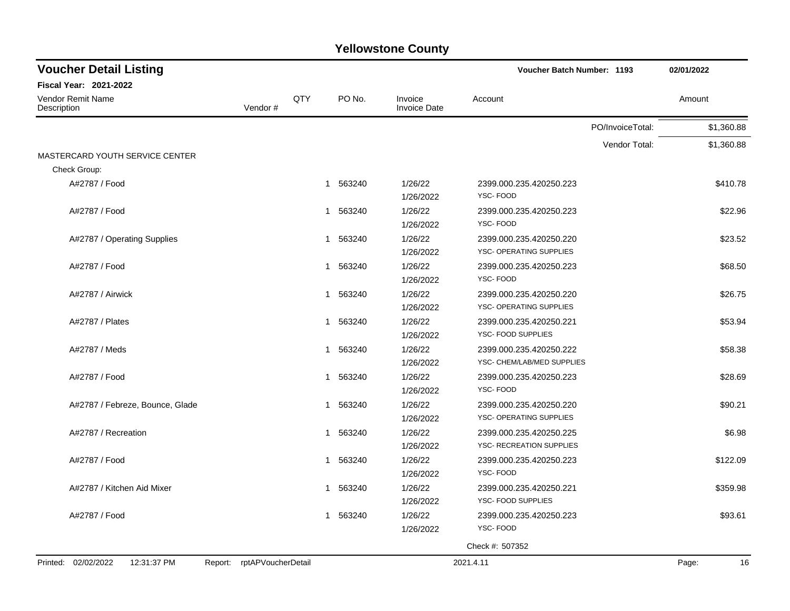| <b>Voucher Detail Listing</b>      |                            |     |                        |                                | <b>Voucher Batch Number: 1193</b>                     |                  | 02/01/2022  |
|------------------------------------|----------------------------|-----|------------------------|--------------------------------|-------------------------------------------------------|------------------|-------------|
| <b>Fiscal Year: 2021-2022</b>      |                            |     |                        |                                |                                                       |                  |             |
| Vendor Remit Name<br>Description   | Vendor#                    | QTY | PO No.                 | Invoice<br><b>Invoice Date</b> | Account                                               |                  | Amount      |
|                                    |                            |     |                        |                                |                                                       | PO/InvoiceTotal: | \$1,360.88  |
|                                    |                            |     |                        |                                |                                                       | Vendor Total:    | \$1,360.88  |
| MASTERCARD YOUTH SERVICE CENTER    |                            |     |                        |                                |                                                       |                  |             |
| Check Group:                       |                            |     |                        |                                |                                                       |                  |             |
| A#2787 / Food                      |                            |     | 1 563240               | 1/26/22<br>1/26/2022           | 2399.000.235.420250.223<br><b>YSC-FOOD</b>            |                  | \$410.78    |
| A#2787 / Food                      |                            |     | 563240<br>1            | 1/26/22<br>1/26/2022           | 2399.000.235.420250.223<br>YSC-FOOD                   |                  | \$22.96     |
| A#2787 / Operating Supplies        |                            |     | 563240<br>1            | 1/26/22<br>1/26/2022           | 2399.000.235.420250.220<br>YSC- OPERATING SUPPLIES    |                  | \$23.52     |
| A#2787 / Food                      |                            |     | 563240<br>$\mathbf 1$  | 1/26/22<br>1/26/2022           | 2399.000.235.420250.223<br>YSC-FOOD                   |                  | \$68.50     |
| A#2787 / Airwick                   |                            |     | 563240<br>-1           | 1/26/22<br>1/26/2022           | 2399.000.235.420250.220<br>YSC- OPERATING SUPPLIES    |                  | \$26.75     |
| A#2787 / Plates                    |                            |     | 563240<br>$\mathbf 1$  | 1/26/22<br>1/26/2022           | 2399.000.235.420250.221<br>YSC- FOOD SUPPLIES         |                  | \$53.94     |
| A#2787 / Meds                      |                            |     | 563240<br>$\mathbf{1}$ | 1/26/22<br>1/26/2022           | 2399.000.235.420250.222<br>YSC- CHEM/LAB/MED SUPPLIES |                  | \$58.38     |
| A#2787 / Food                      |                            |     | 563240<br>$\mathbf{1}$ | 1/26/22<br>1/26/2022           | 2399.000.235.420250.223<br>YSC-FOOD                   |                  | \$28.69     |
| A#2787 / Febreze, Bounce, Glade    |                            |     | 563240<br>1            | 1/26/22<br>1/26/2022           | 2399.000.235.420250.220<br>YSC- OPERATING SUPPLIES    |                  | \$90.21     |
| A#2787 / Recreation                |                            |     | 1 563240               | 1/26/22<br>1/26/2022           | 2399.000.235.420250.225<br>YSC- RECREATION SUPPLIES   |                  | \$6.98      |
| A#2787 / Food                      |                            |     | 1 563240               | 1/26/22<br>1/26/2022           | 2399.000.235.420250.223<br>YSC-FOOD                   |                  | \$122.09    |
| A#2787 / Kitchen Aid Mixer         |                            |     | 1 563240               | 1/26/22<br>1/26/2022           | 2399.000.235.420250.221<br>YSC- FOOD SUPPLIES         |                  | \$359.98    |
| A#2787 / Food                      |                            |     | 1 563240               | 1/26/22<br>1/26/2022           | 2399.000.235.420250.223<br>YSC-FOOD                   |                  | \$93.61     |
|                                    |                            |     |                        |                                | Check #: 507352                                       |                  |             |
| Printed: 02/02/2022<br>12:31:37 PM | Report: rptAPVoucherDetail |     |                        |                                | 2021.4.11                                             |                  | 16<br>Page: |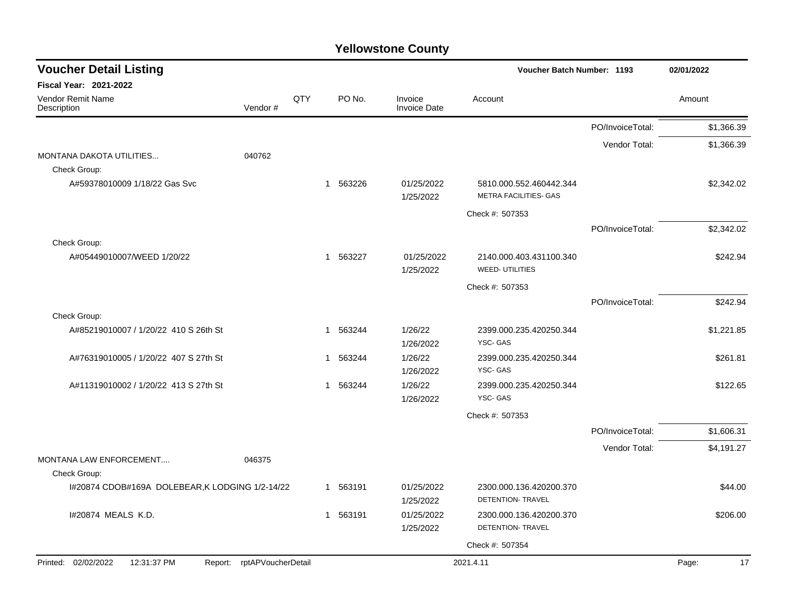| <b>Voucher Detail Listing</b>                                    |  |     |          | <b>Voucher Batch Number: 1193</b> |                                                  |                  |             |  |
|------------------------------------------------------------------|--|-----|----------|-----------------------------------|--------------------------------------------------|------------------|-------------|--|
| <b>Fiscal Year: 2021-2022</b>                                    |  |     |          |                                   |                                                  |                  |             |  |
| Vendor Remit Name<br>Vendor#<br>Description                      |  | QTY | PO No.   | Invoice<br><b>Invoice Date</b>    | Account                                          |                  | Amount      |  |
|                                                                  |  |     |          |                                   |                                                  | PO/InvoiceTotal: | \$1,366.39  |  |
|                                                                  |  |     |          |                                   |                                                  | Vendor Total:    | \$1,366.39  |  |
| MONTANA DAKOTA UTILITIES<br>040762<br>Check Group:               |  |     |          |                                   |                                                  |                  |             |  |
| A#59378010009 1/18/22 Gas Svc                                    |  | -1  | 563226   | 01/25/2022                        | 5810.000.552.460442.344                          |                  | \$2,342.02  |  |
|                                                                  |  |     |          | 1/25/2022                         | METRA FACILITIES- GAS                            |                  |             |  |
|                                                                  |  |     |          |                                   | Check #: 507353                                  |                  |             |  |
|                                                                  |  |     |          |                                   |                                                  | PO/InvoiceTotal: | \$2,342.02  |  |
| Check Group:                                                     |  |     |          |                                   |                                                  |                  |             |  |
| A#05449010007/WEED 1/20/22                                       |  |     | 1 563227 | 01/25/2022<br>1/25/2022           | 2140.000.403.431100.340<br><b>WEED-UTILITIES</b> |                  | \$242.94    |  |
|                                                                  |  |     |          |                                   | Check #: 507353                                  |                  |             |  |
|                                                                  |  |     |          |                                   |                                                  | PO/InvoiceTotal: | \$242.94    |  |
| Check Group:                                                     |  |     |          |                                   |                                                  |                  |             |  |
| A#85219010007 / 1/20/22 410 S 26th St                            |  |     | 1 563244 | 1/26/22<br>1/26/2022              | 2399.000.235.420250.344<br>YSC-GAS               |                  | \$1,221.85  |  |
| A#76319010005 / 1/20/22 407 S 27th St                            |  | -1  | 563244   | 1/26/22<br>1/26/2022              | 2399.000.235.420250.344<br>YSC-GAS               |                  | \$261.81    |  |
| A#11319010002 / 1/20/22 413 S 27th St                            |  |     | 1 563244 | 1/26/22                           | 2399.000.235.420250.344                          |                  | \$122.65    |  |
|                                                                  |  |     |          | 1/26/2022                         | YSC-GAS                                          |                  |             |  |
|                                                                  |  |     |          |                                   | Check #: 507353                                  |                  |             |  |
|                                                                  |  |     |          |                                   |                                                  | PO/InvoiceTotal: | \$1,606.31  |  |
|                                                                  |  |     |          |                                   |                                                  | Vendor Total:    | \$4,191.27  |  |
| MONTANA LAW ENFORCEMENT<br>046375                                |  |     |          |                                   |                                                  |                  |             |  |
| Check Group:<br>I#20874 CDOB#169A DOLEBEAR, K LODGING 1/2-14/22  |  |     | 1 563191 | 01/25/2022                        | 2300.000.136.420200.370                          |                  | \$44.00     |  |
|                                                                  |  |     |          | 1/25/2022                         | <b>DETENTION- TRAVEL</b>                         |                  |             |  |
| I#20874 MEALS K.D.                                               |  |     | 1 563191 | 01/25/2022                        | 2300.000.136.420200.370                          |                  | \$206.00    |  |
|                                                                  |  |     |          | 1/25/2022                         | DETENTION- TRAVEL                                |                  |             |  |
|                                                                  |  |     |          |                                   | Check #: 507354                                  |                  |             |  |
| Printed: 02/02/2022<br>12:31:37 PM<br>Report: rptAPVoucherDetail |  |     |          |                                   | 2021.4.11                                        |                  | 17<br>Page: |  |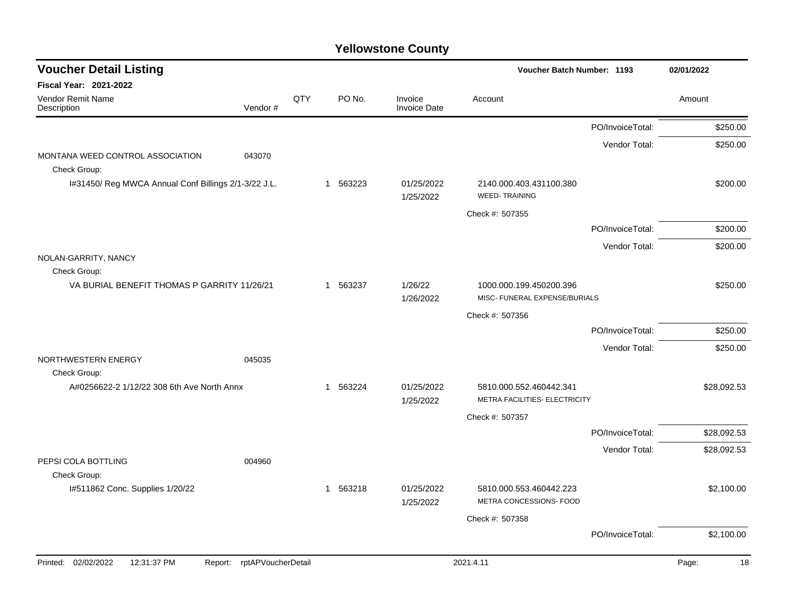| <b>Voucher Detail Listing</b>                              |                    |   |          |                                | Voucher Batch Number: 1193                               |                  | 02/01/2022  |
|------------------------------------------------------------|--------------------|---|----------|--------------------------------|----------------------------------------------------------|------------------|-------------|
| <b>Fiscal Year: 2021-2022</b>                              |                    |   |          |                                |                                                          |                  |             |
| Vendor Remit Name<br>Vendor#<br>Description                | QTY                |   | PO No.   | Invoice<br><b>Invoice Date</b> | Account                                                  |                  | Amount      |
|                                                            |                    |   |          |                                |                                                          | PO/InvoiceTotal: | \$250.00    |
|                                                            |                    |   |          |                                |                                                          | Vendor Total:    | \$250.00    |
| MONTANA WEED CONTROL ASSOCIATION<br>043070<br>Check Group: |                    |   |          |                                |                                                          |                  |             |
| I#31450/ Reg MWCA Annual Conf Billings 2/1-3/22 J.L.       |                    | 1 | 563223   | 01/25/2022<br>1/25/2022        | 2140.000.403.431100.380<br><b>WEED-TRAINING</b>          |                  | \$200.00    |
|                                                            |                    |   |          |                                | Check #: 507355                                          |                  |             |
|                                                            |                    |   |          |                                |                                                          | PO/InvoiceTotal: | \$200.00    |
|                                                            |                    |   |          |                                |                                                          | Vendor Total:    | \$200.00    |
| NOLAN-GARRITY, NANCY<br>Check Group:                       |                    |   |          |                                |                                                          |                  |             |
| VA BURIAL BENEFIT THOMAS P GARRITY 11/26/21                |                    |   | 1 563237 | 1/26/22<br>1/26/2022           | 1000.000.199.450200.396<br>MISC- FUNERAL EXPENSE/BURIALS |                  | \$250.00    |
|                                                            |                    |   |          |                                | Check #: 507356                                          |                  |             |
|                                                            |                    |   |          |                                |                                                          | PO/InvoiceTotal: | \$250.00    |
|                                                            |                    |   |          |                                |                                                          | Vendor Total:    | \$250.00    |
| NORTHWESTERN ENERGY<br>045035<br>Check Group:              |                    |   |          |                                |                                                          |                  |             |
| A#0256622-2 1/12/22 308 6th Ave North Annx                 |                    |   | 1 563224 | 01/25/2022<br>1/25/2022        | 5810.000.552.460442.341<br>METRA FACILITIES- ELECTRICITY |                  | \$28,092.53 |
|                                                            |                    |   |          |                                | Check #: 507357                                          |                  |             |
|                                                            |                    |   |          |                                |                                                          | PO/InvoiceTotal: | \$28,092.53 |
|                                                            |                    |   |          |                                |                                                          | Vendor Total:    | \$28,092.53 |
| PEPSI COLA BOTTLING<br>004960<br>Check Group:              |                    |   |          |                                |                                                          |                  |             |
| I#511862 Conc. Supplies 1/20/22                            |                    |   | 1 563218 | 01/25/2022<br>1/25/2022        | 5810.000.553.460442.223<br>METRA CONCESSIONS- FOOD       |                  | \$2,100.00  |
|                                                            |                    |   |          |                                | Check #: 507358                                          |                  |             |
|                                                            |                    |   |          |                                |                                                          | PO/InvoiceTotal: | \$2,100.00  |
| Printed: 02/02/2022<br>12:31:37 PM<br>Report:              | rptAPVoucherDetail |   |          |                                | 2021.4.11                                                |                  | 18<br>Page: |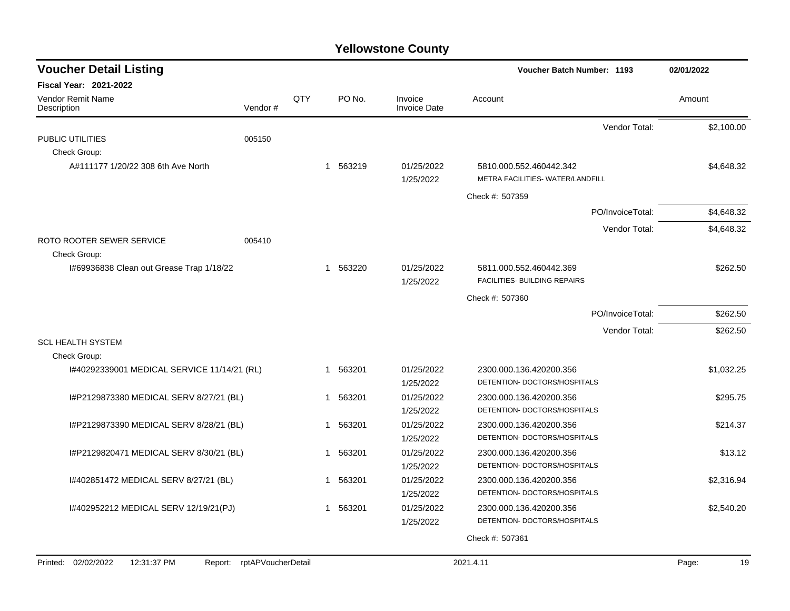| <b>Voucher Detail Listing</b>                      |                    |     |             |                                | Voucher Batch Number: 1193                              |                  | 02/01/2022  |
|----------------------------------------------------|--------------------|-----|-------------|--------------------------------|---------------------------------------------------------|------------------|-------------|
| Fiscal Year: 2021-2022                             |                    |     |             |                                |                                                         |                  |             |
| Vendor Remit Name<br>Description                   | Vendor#            | QTY | PO No.      | Invoice<br><b>Invoice Date</b> | Account                                                 |                  | Amount      |
|                                                    |                    |     |             |                                |                                                         | Vendor Total:    | \$2,100.00  |
| PUBLIC UTILITIES                                   | 005150             |     |             |                                |                                                         |                  |             |
| Check Group:<br>A#111177 1/20/22 308 6th Ave North |                    |     | 1 563219    | 01/25/2022                     | 5810.000.552.460442.342                                 |                  | \$4,648.32  |
|                                                    |                    |     |             | 1/25/2022                      | METRA FACILITIES- WATER/LANDFILL                        |                  |             |
|                                                    |                    |     |             |                                | Check #: 507359                                         |                  |             |
|                                                    |                    |     |             |                                |                                                         | PO/InvoiceTotal: | \$4,648.32  |
|                                                    |                    |     |             |                                |                                                         | Vendor Total:    | \$4,648.32  |
| ROTO ROOTER SEWER SERVICE                          | 005410             |     |             |                                |                                                         |                  |             |
| Check Group:                                       |                    |     |             |                                |                                                         |                  |             |
| 1#69936838 Clean out Grease Trap 1/18/22           |                    |     | 1 563220    | 01/25/2022                     | 5811.000.552.460442.369                                 |                  | \$262.50    |
|                                                    |                    |     |             | 1/25/2022                      | FACILITIES- BUILDING REPAIRS                            |                  |             |
|                                                    |                    |     |             |                                | Check #: 507360                                         |                  |             |
|                                                    |                    |     |             |                                |                                                         | PO/InvoiceTotal: | \$262.50    |
|                                                    |                    |     |             |                                |                                                         | Vendor Total:    | \$262.50    |
| <b>SCL HEALTH SYSTEM</b><br>Check Group:           |                    |     |             |                                |                                                         |                  |             |
| I#40292339001 MEDICAL SERVICE 11/14/21 (RL)        |                    |     | 1 563201    | 01/25/2022                     | 2300.000.136.420200.356                                 |                  | \$1,032.25  |
|                                                    |                    |     |             | 1/25/2022                      | DETENTION- DOCTORS/HOSPITALS                            |                  |             |
| I#P2129873380 MEDICAL SERV 8/27/21 (BL)            |                    |     | 1 563201    | 01/25/2022                     | 2300.000.136.420200.356                                 |                  | \$295.75    |
|                                                    |                    |     |             | 1/25/2022                      | DETENTION- DOCTORS/HOSPITALS                            |                  |             |
| I#P2129873390 MEDICAL SERV 8/28/21 (BL)            |                    |     | 563201<br>1 | 01/25/2022                     | 2300.000.136.420200.356                                 |                  | \$214.37    |
|                                                    |                    |     |             | 1/25/2022                      | DETENTION- DOCTORS/HOSPITALS                            |                  |             |
| I#P2129820471 MEDICAL SERV 8/30/21 (BL)            |                    |     | 1 563201    | 01/25/2022                     | 2300.000.136.420200.356                                 |                  | \$13.12     |
|                                                    |                    |     |             | 1/25/2022                      | DETENTION- DOCTORS/HOSPITALS                            |                  |             |
| 1#402851472 MEDICAL SERV 8/27/21 (BL)              |                    |     | 1 563201    | 01/25/2022<br>1/25/2022        | 2300.000.136.420200.356<br>DETENTION- DOCTORS/HOSPITALS |                  | \$2,316.94  |
| 1#402952212 MEDICAL SERV 12/19/21(PJ)              |                    |     | 1 563201    | 01/25/2022                     | 2300.000.136.420200.356                                 |                  | \$2,540.20  |
|                                                    |                    |     |             | 1/25/2022                      | DETENTION- DOCTORS/HOSPITALS                            |                  |             |
|                                                    |                    |     |             |                                | Check #: 507361                                         |                  |             |
|                                                    |                    |     |             |                                |                                                         |                  |             |
| Printed: 02/02/2022<br>12:31:37 PM<br>Report:      | rptAPVoucherDetail |     |             |                                | 2021.4.11                                               |                  | 19<br>Page: |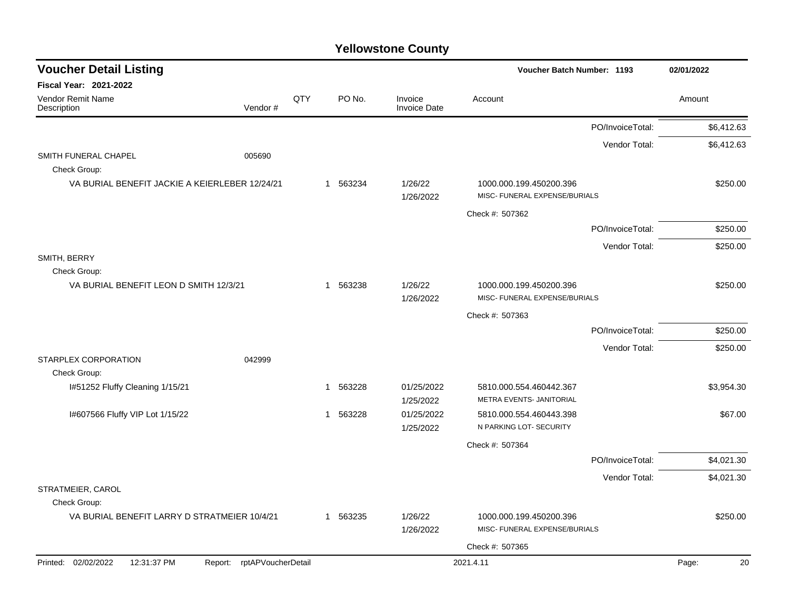| <b>Voucher Detail Listing</b>                                    |     |                       |                                | <b>Voucher Batch Number: 1193</b>                        |                  | 02/01/2022  |
|------------------------------------------------------------------|-----|-----------------------|--------------------------------|----------------------------------------------------------|------------------|-------------|
| Fiscal Year: 2021-2022                                           |     |                       |                                |                                                          |                  |             |
| Vendor Remit Name<br>Description<br>Vendor#                      | QTY | PO No.                | Invoice<br><b>Invoice Date</b> | Account                                                  |                  | Amount      |
|                                                                  |     |                       |                                |                                                          | PO/InvoiceTotal: | \$6,412.63  |
|                                                                  |     |                       |                                |                                                          | Vendor Total:    | \$6,412.63  |
| SMITH FUNERAL CHAPEL<br>005690<br>Check Group:                   |     |                       |                                |                                                          |                  |             |
| VA BURIAL BENEFIT JACKIE A KEIERLEBER 12/24/21                   |     | 563234<br>1           | 1/26/22                        | 1000.000.199.450200.396                                  |                  | \$250.00    |
|                                                                  |     |                       | 1/26/2022                      | MISC- FUNERAL EXPENSE/BURIALS                            |                  |             |
|                                                                  |     |                       |                                | Check #: 507362                                          |                  |             |
|                                                                  |     |                       |                                |                                                          | PO/InvoiceTotal: | \$250.00    |
|                                                                  |     |                       |                                |                                                          | Vendor Total:    | \$250.00    |
| SMITH, BERRY<br>Check Group:                                     |     |                       |                                |                                                          |                  |             |
| VA BURIAL BENEFIT LEON D SMITH 12/3/21                           |     | 1 563238              | 1/26/22<br>1/26/2022           | 1000.000.199.450200.396<br>MISC- FUNERAL EXPENSE/BURIALS |                  | \$250.00    |
|                                                                  |     |                       |                                | Check #: 507363                                          |                  |             |
|                                                                  |     |                       |                                |                                                          | PO/InvoiceTotal: | \$250.00    |
|                                                                  |     |                       |                                |                                                          | Vendor Total:    | \$250.00    |
| <b>STARPLEX CORPORATION</b><br>042999<br>Check Group:            |     |                       |                                |                                                          |                  |             |
| I#51252 Fluffy Cleaning 1/15/21                                  |     | 563228<br>$\mathbf 1$ | 01/25/2022                     | 5810.000.554.460442.367                                  |                  | \$3,954.30  |
|                                                                  |     |                       | 1/25/2022                      | METRA EVENTS- JANITORIAL                                 |                  |             |
| I#607566 Fluffy VIP Lot 1/15/22                                  |     | 563228<br>$\mathbf 1$ | 01/25/2022<br>1/25/2022        | 5810.000.554.460443.398<br>N PARKING LOT- SECURITY       |                  | \$67.00     |
|                                                                  |     |                       |                                | Check #: 507364                                          |                  |             |
|                                                                  |     |                       |                                |                                                          | PO/InvoiceTotal: | \$4,021.30  |
|                                                                  |     |                       |                                |                                                          | Vendor Total:    | \$4,021.30  |
| STRATMEIER, CAROL<br>Check Group:                                |     |                       |                                |                                                          |                  |             |
| VA BURIAL BENEFIT LARRY D STRATMEIER 10/4/21                     |     | 1 563235              | 1/26/22<br>1/26/2022           | 1000.000.199.450200.396<br>MISC- FUNERAL EXPENSE/BURIALS |                  | \$250.00    |
|                                                                  |     |                       |                                | Check #: 507365                                          |                  |             |
| Printed: 02/02/2022<br>12:31:37 PM<br>Report: rptAPVoucherDetail |     |                       |                                | 2021.4.11                                                |                  | Page:<br>20 |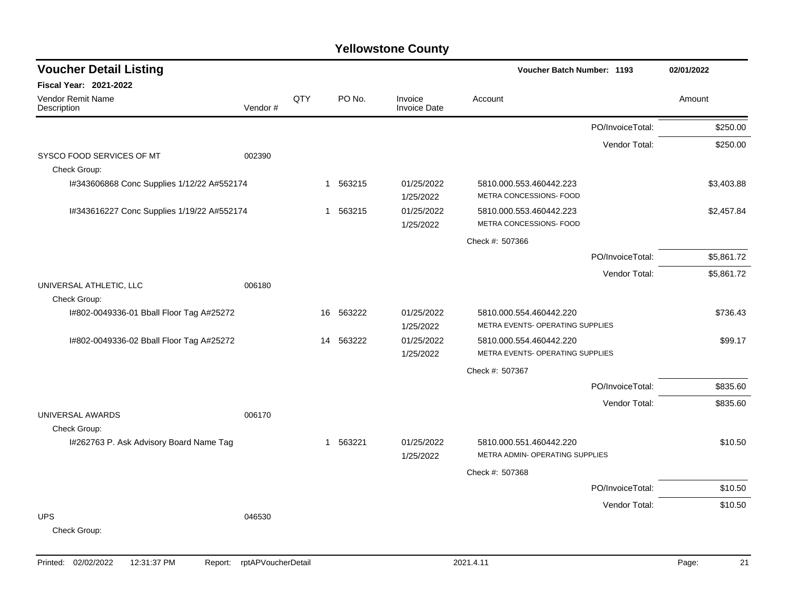| <b>Voucher Detail Listing</b>              |         |     |                        |                                |                                  | <b>Voucher Batch Number: 1193</b> |            |  |
|--------------------------------------------|---------|-----|------------------------|--------------------------------|----------------------------------|-----------------------------------|------------|--|
| <b>Fiscal Year: 2021-2022</b>              |         |     |                        |                                |                                  |                                   |            |  |
| <b>Vendor Remit Name</b><br>Description    | Vendor# | QTY | PO No.                 | Invoice<br><b>Invoice Date</b> | Account                          |                                   | Amount     |  |
|                                            |         |     |                        |                                |                                  | PO/InvoiceTotal:                  | \$250.00   |  |
|                                            |         |     |                        |                                |                                  | Vendor Total:                     | \$250.00   |  |
| SYSCO FOOD SERVICES OF MT                  | 002390  |     |                        |                                |                                  |                                   |            |  |
| Check Group:                               |         |     |                        |                                |                                  |                                   |            |  |
| I#343606868 Conc Supplies 1/12/22 A#552174 |         |     | 1 563215               | 01/25/2022                     | 5810.000.553.460442.223          |                                   | \$3,403.88 |  |
|                                            |         |     |                        | 1/25/2022                      | METRA CONCESSIONS- FOOD          |                                   |            |  |
| I#343616227 Conc Supplies 1/19/22 A#552174 |         |     | 563215<br>$\mathbf{1}$ | 01/25/2022                     | 5810.000.553.460442.223          |                                   | \$2,457.84 |  |
|                                            |         |     |                        | 1/25/2022                      | METRA CONCESSIONS- FOOD          |                                   |            |  |
|                                            |         |     |                        |                                | Check #: 507366                  |                                   |            |  |
|                                            |         |     |                        |                                |                                  | PO/InvoiceTotal:                  | \$5,861.72 |  |
|                                            |         |     |                        |                                |                                  | Vendor Total:                     | \$5,861.72 |  |
| UNIVERSAL ATHLETIC, LLC                    | 006180  |     |                        |                                |                                  |                                   |            |  |
| Check Group:                               |         |     |                        |                                |                                  |                                   |            |  |
| I#802-0049336-01 Bball Floor Tag A#25272   |         | 16  | 563222                 | 01/25/2022                     | 5810.000.554.460442.220          |                                   | \$736.43   |  |
|                                            |         |     |                        | 1/25/2022                      | METRA EVENTS- OPERATING SUPPLIES |                                   |            |  |
| I#802-0049336-02 Bball Floor Tag A#25272   |         | 14  | 563222                 | 01/25/2022                     | 5810.000.554.460442.220          |                                   | \$99.17    |  |
|                                            |         |     |                        | 1/25/2022                      | METRA EVENTS- OPERATING SUPPLIES |                                   |            |  |
|                                            |         |     |                        |                                | Check #: 507367                  |                                   |            |  |
|                                            |         |     |                        |                                |                                  | PO/InvoiceTotal:                  | \$835.60   |  |
|                                            |         |     |                        |                                |                                  | Vendor Total:                     | \$835.60   |  |
| UNIVERSAL AWARDS                           | 006170  |     |                        |                                |                                  |                                   |            |  |
| Check Group:                               |         |     |                        |                                |                                  |                                   |            |  |
| I#262763 P. Ask Advisory Board Name Tag    |         |     | 1 563221               | 01/25/2022                     | 5810.000.551.460442.220          |                                   | \$10.50    |  |
|                                            |         |     |                        | 1/25/2022                      | METRA ADMIN- OPERATING SUPPLIES  |                                   |            |  |
|                                            |         |     |                        |                                | Check #: 507368                  |                                   |            |  |
|                                            |         |     |                        |                                |                                  | PO/InvoiceTotal:                  | \$10.50    |  |
|                                            |         |     |                        |                                |                                  | Vendor Total:                     | \$10.50    |  |
| <b>UPS</b>                                 | 046530  |     |                        |                                |                                  |                                   |            |  |
| Check Group:                               |         |     |                        |                                |                                  |                                   |            |  |
|                                            |         |     |                        |                                |                                  |                                   |            |  |